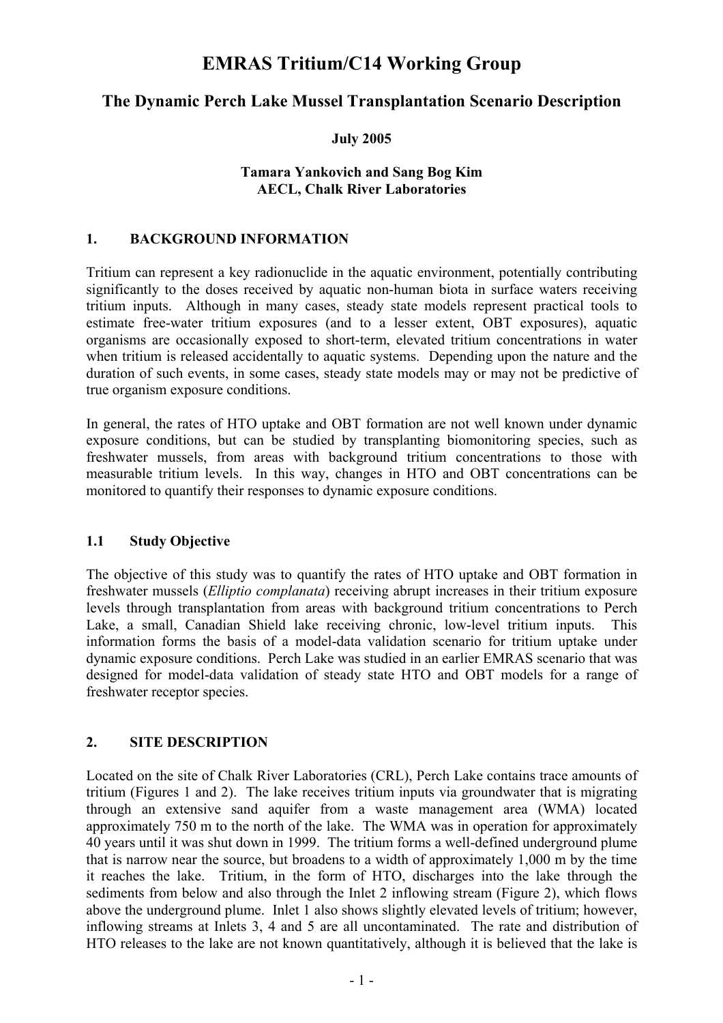# **EMRAS Tritium/C14 Working Group**

# **The Dynamic Perch Lake Mussel Transplantation Scenario Description**

#### **July 2005**

#### **Tamara Yankovich and Sang Bog Kim AECL, Chalk River Laboratories**

#### **1. BACKGROUND INFORMATION**

Tritium can represent a key radionuclide in the aquatic environment, potentially contributing significantly to the doses received by aquatic non-human biota in surface waters receiving tritium inputs. Although in many cases, steady state models represent practical tools to estimate free-water tritium exposures (and to a lesser extent, OBT exposures), aquatic organisms are occasionally exposed to short-term, elevated tritium concentrations in water when tritium is released accidentally to aquatic systems. Depending upon the nature and the duration of such events, in some cases, steady state models may or may not be predictive of true organism exposure conditions.

In general, the rates of HTO uptake and OBT formation are not well known under dynamic exposure conditions, but can be studied by transplanting biomonitoring species, such as freshwater mussels, from areas with background tritium concentrations to those with measurable tritium levels. In this way, changes in HTO and OBT concentrations can be monitored to quantify their responses to dynamic exposure conditions.

#### **1.1 Study Objective**

The objective of this study was to quantify the rates of HTO uptake and OBT formation in freshwater mussels (*Elliptio complanata*) receiving abrupt increases in their tritium exposure levels through transplantation from areas with background tritium concentrations to Perch Lake, a small, Canadian Shield lake receiving chronic, low-level tritium inputs. This information forms the basis of a model-data validation scenario for tritium uptake under dynamic exposure conditions. Perch Lake was studied in an earlier EMRAS scenario that was designed for model-data validation of steady state HTO and OBT models for a range of freshwater receptor species.

#### **2. SITE DESCRIPTION**

Located on the site of Chalk River Laboratories (CRL), Perch Lake contains trace amounts of tritium (Figures 1 and 2). The lake receives tritium inputs via groundwater that is migrating through an extensive sand aquifer from a waste management area (WMA) located approximately 750 m to the north of the lake. The WMA was in operation for approximately 40 years until it was shut down in 1999. The tritium forms a well-defined underground plume that is narrow near the source, but broadens to a width of approximately 1,000 m by the time it reaches the lake. Tritium, in the form of HTO, discharges into the lake through the sediments from below and also through the Inlet 2 inflowing stream (Figure 2), which flows above the underground plume. Inlet 1 also shows slightly elevated levels of tritium; however, inflowing streams at Inlets 3, 4 and 5 are all uncontaminated. The rate and distribution of HTO releases to the lake are not known quantitatively, although it is believed that the lake is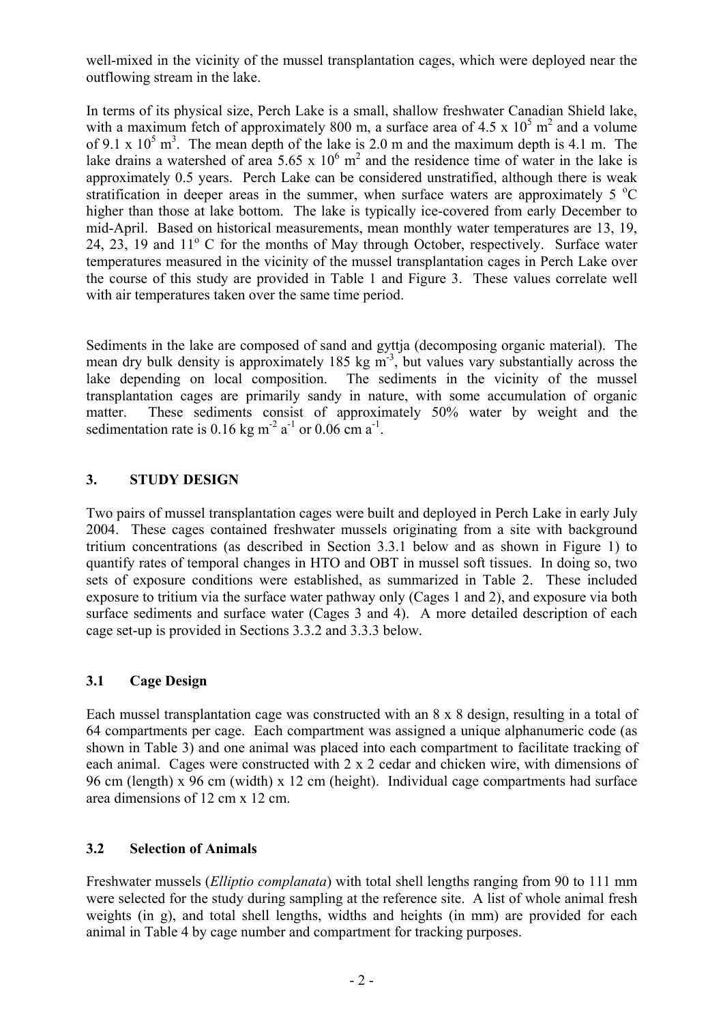well-mixed in the vicinity of the mussel transplantation cages, which were deployed near the outflowing stream in the lake.

In terms of its physical size, Perch Lake is a small, shallow freshwater Canadian Shield lake, with a maximum fetch of approximately 800 m, a surface area of 4.5 x  $10^5$  m<sup>2</sup> and a volume of 9.1 x  $10^5$  m<sup>3</sup>. The mean depth of the lake is 2.0 m and the maximum depth is 4.1 m. The lake drains a watershed of area 5.65 x  $10^6$  m<sup>2</sup> and the residence time of water in the lake is approximately 0.5 years. Perch Lake can be considered unstratified, although there is weak stratification in deeper areas in the summer, when surface waters are approximately  $5^{\circ}$ C higher than those at lake bottom. The lake is typically ice-covered from early December to mid-April. Based on historical measurements, mean monthly water temperatures are 13, 19, 24, 23, 19 and  $11^{\circ}$  C for the months of May through October, respectively. Surface water temperatures measured in the vicinity of the mussel transplantation cages in Perch Lake over the course of this study are provided in Table 1 and Figure 3. These values correlate well with air temperatures taken over the same time period.

Sediments in the lake are composed of sand and gyttja (decomposing organic material). The mean dry bulk density is approximately 185 kg  $\frac{55}{3}$ , but values vary substantially across the lake depending on local composition. The sediments in the vicinity of the mussel transplantation cages are primarily sandy in nature, with some accumulation of organic matter. These sediments consist of approximately 50% water by weight and the sedimentation rate is 0.16 kg m<sup>-2</sup>  $a^{-1}$  or 0.06 cm  $a^{-1}$ .

### **3. STUDY DESIGN**

Two pairs of mussel transplantation cages were built and deployed in Perch Lake in early July 2004. These cages contained freshwater mussels originating from a site with background tritium concentrations (as described in Section 3.3.1 below and as shown in Figure 1) to quantify rates of temporal changes in HTO and OBT in mussel soft tissues. In doing so, two sets of exposure conditions were established, as summarized in Table 2. These included exposure to tritium via the surface water pathway only (Cages 1 and 2), and exposure via both surface sediments and surface water (Cages 3 and 4). A more detailed description of each cage set-up is provided in Sections 3.3.2 and 3.3.3 below.

# **3.1 Cage Design**

Each mussel transplantation cage was constructed with an 8 x 8 design, resulting in a total of 64 compartments per cage. Each compartment was assigned a unique alphanumeric code (as shown in Table 3) and one animal was placed into each compartment to facilitate tracking of each animal. Cages were constructed with 2 x 2 cedar and chicken wire, with dimensions of 96 cm (length) x 96 cm (width) x 12 cm (height). Individual cage compartments had surface area dimensions of 12 cm x 12 cm.

# **3.2 Selection of Animals**

Freshwater mussels (*Elliptio complanata*) with total shell lengths ranging from 90 to 111 mm were selected for the study during sampling at the reference site. A list of whole animal fresh weights (in g), and total shell lengths, widths and heights (in mm) are provided for each animal in Table 4 by cage number and compartment for tracking purposes.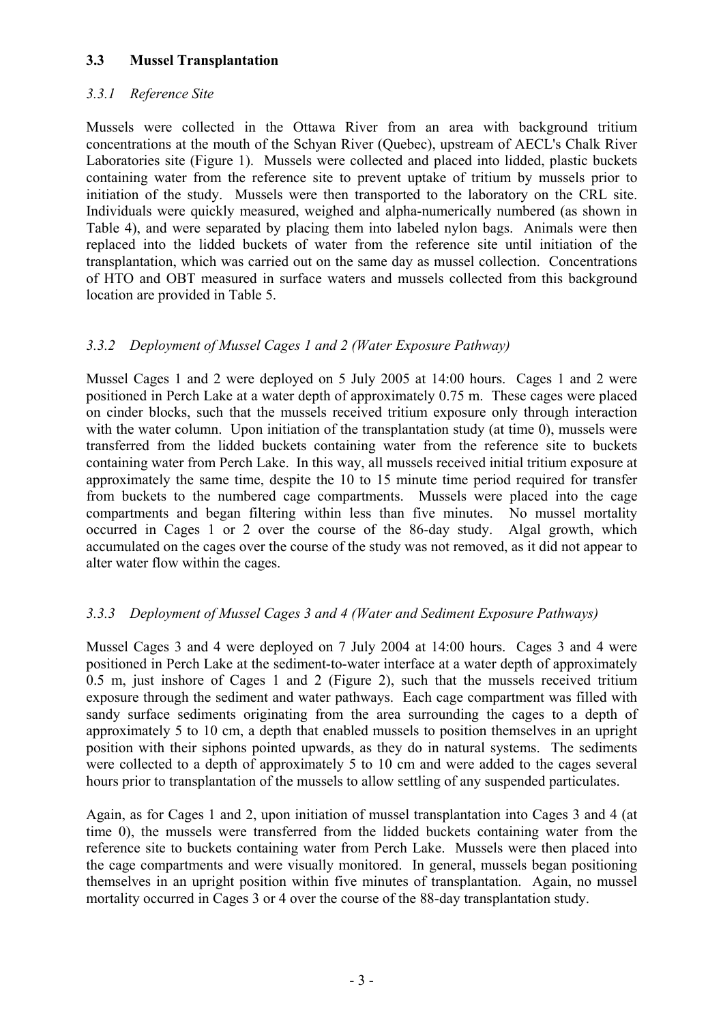#### **3.3 Mussel Transplantation**

### *3.3.1 Reference Site*

Mussels were collected in the Ottawa River from an area with background tritium concentrations at the mouth of the Schyan River (Quebec), upstream of AECL's Chalk River Laboratories site (Figure 1). Mussels were collected and placed into lidded, plastic buckets containing water from the reference site to prevent uptake of tritium by mussels prior to initiation of the study. Mussels were then transported to the laboratory on the CRL site. Individuals were quickly measured, weighed and alpha-numerically numbered (as shown in Table 4), and were separated by placing them into labeled nylon bags. Animals were then replaced into the lidded buckets of water from the reference site until initiation of the transplantation, which was carried out on the same day as mussel collection. Concentrations of HTO and OBT measured in surface waters and mussels collected from this background location are provided in Table 5.

# *3.3.2 Deployment of Mussel Cages 1 and 2 (Water Exposure Pathway)*

Mussel Cages 1 and 2 were deployed on 5 July 2005 at 14:00 hours. Cages 1 and 2 were positioned in Perch Lake at a water depth of approximately 0.75 m. These cages were placed on cinder blocks, such that the mussels received tritium exposure only through interaction with the water column. Upon initiation of the transplantation study (at time 0), mussels were transferred from the lidded buckets containing water from the reference site to buckets containing water from Perch Lake. In this way, all mussels received initial tritium exposure at approximately the same time, despite the 10 to 15 minute time period required for transfer from buckets to the numbered cage compartments. Mussels were placed into the cage compartments and began filtering within less than five minutes. No mussel mortality occurred in Cages 1 or 2 over the course of the 86-day study. Algal growth, which accumulated on the cages over the course of the study was not removed, as it did not appear to alter water flow within the cages.

# *3.3.3 Deployment of Mussel Cages 3 and 4 (Water and Sediment Exposure Pathways)*

Mussel Cages 3 and 4 were deployed on 7 July 2004 at 14:00 hours. Cages 3 and 4 were positioned in Perch Lake at the sediment-to-water interface at a water depth of approximately 0.5 m, just inshore of Cages 1 and 2 (Figure 2), such that the mussels received tritium exposure through the sediment and water pathways. Each cage compartment was filled with sandy surface sediments originating from the area surrounding the cages to a depth of approximately 5 to 10 cm, a depth that enabled mussels to position themselves in an upright position with their siphons pointed upwards, as they do in natural systems. The sediments were collected to a depth of approximately 5 to 10 cm and were added to the cages several hours prior to transplantation of the mussels to allow settling of any suspended particulates.

Again, as for Cages 1 and 2, upon initiation of mussel transplantation into Cages 3 and 4 (at time 0), the mussels were transferred from the lidded buckets containing water from the reference site to buckets containing water from Perch Lake. Mussels were then placed into the cage compartments and were visually monitored. In general, mussels began positioning themselves in an upright position within five minutes of transplantation. Again, no mussel mortality occurred in Cages 3 or 4 over the course of the 88-day transplantation study.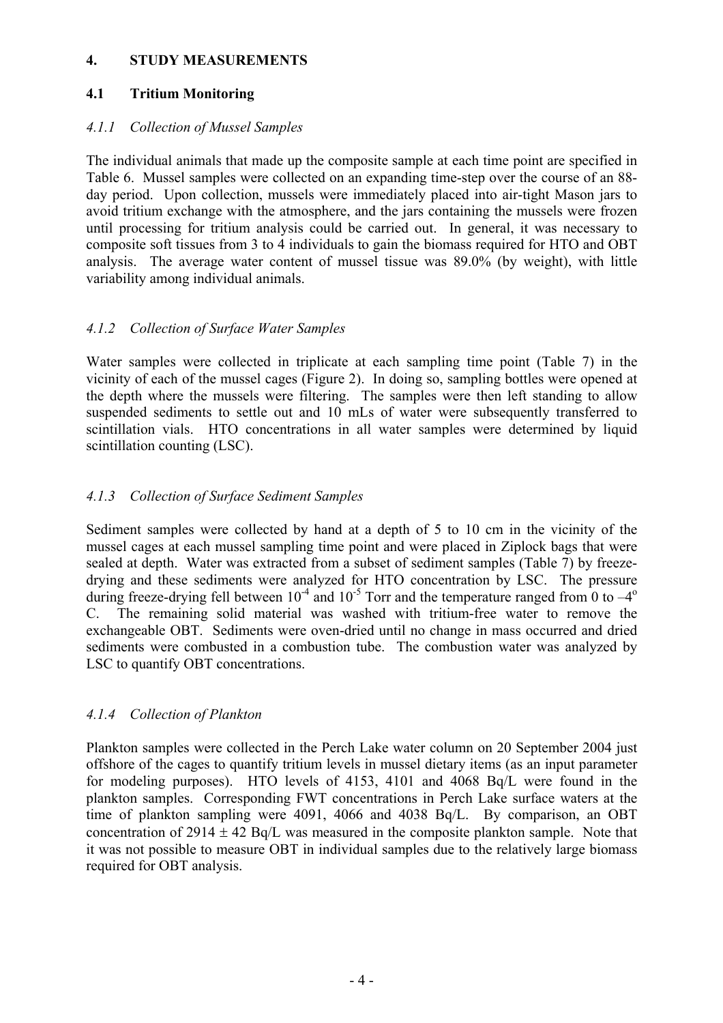#### **4. STUDY MEASUREMENTS**

### **4.1 Tritium Monitoring**

#### *4.1.1 Collection of Mussel Samples*

The individual animals that made up the composite sample at each time point are specified in Table 6. Mussel samples were collected on an expanding time-step over the course of an 88 day period. Upon collection, mussels were immediately placed into air-tight Mason jars to avoid tritium exchange with the atmosphere, and the jars containing the mussels were frozen until processing for tritium analysis could be carried out. In general, it was necessary to composite soft tissues from 3 to 4 individuals to gain the biomass required for HTO and OBT analysis. The average water content of mussel tissue was 89.0% (by weight), with little variability among individual animals.

### *4.1.2 Collection of Surface Water Samples*

Water samples were collected in triplicate at each sampling time point (Table 7) in the vicinity of each of the mussel cages (Figure 2). In doing so, sampling bottles were opened at the depth where the mussels were filtering. The samples were then left standing to allow suspended sediments to settle out and 10 mLs of water were subsequently transferred to scintillation vials. HTO concentrations in all water samples were determined by liquid scintillation counting (LSC).

# *4.1.3 Collection of Surface Sediment Samples*

Sediment samples were collected by hand at a depth of 5 to 10 cm in the vicinity of the mussel cages at each mussel sampling time point and were placed in Ziplock bags that were sealed at depth. Water was extracted from a subset of sediment samples (Table 7) by freezedrying and these sediments were analyzed for HTO concentration by LSC. The pressure during freeze-drying fell between  $10^{-4}$  and  $10^{-5}$  Torr and the temperature ranged from 0 to  $-4^{\circ}$ C. The remaining solid material was washed with tritium-free water to remove the exchangeable OBT. Sediments were oven-dried until no change in mass occurred and dried sediments were combusted in a combustion tube. The combustion water was analyzed by LSC to quantify OBT concentrations.

# *4.1.4 Collection of Plankton*

Plankton samples were collected in the Perch Lake water column on 20 September 2004 just offshore of the cages to quantify tritium levels in mussel dietary items (as an input parameter for modeling purposes). HTO levels of 4153, 4101 and 4068 Bq/L were found in the plankton samples. Corresponding FWT concentrations in Perch Lake surface waters at the time of plankton sampling were 4091, 4066 and 4038 Bq/L. By comparison, an OBT concentration of  $2914 \pm 42$  Bq/L was measured in the composite plankton sample. Note that it was not possible to measure OBT in individual samples due to the relatively large biomass required for OBT analysis.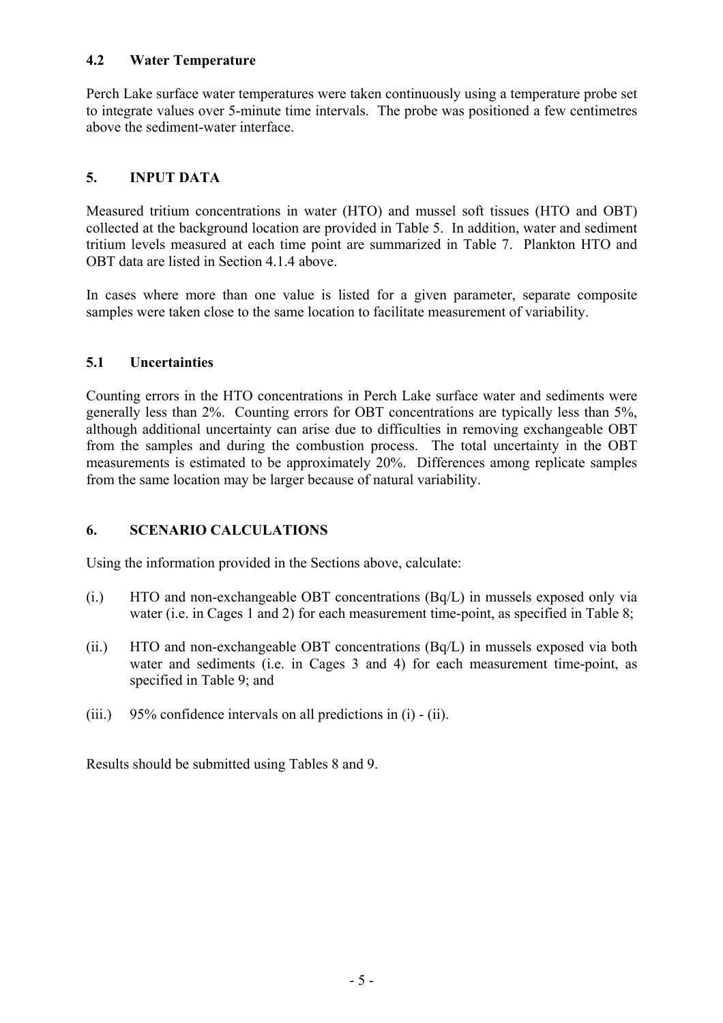#### **4.2 Water Temperature**

Perch Lake surface water temperatures were taken continuously using a temperature probe set to integrate values over 5-minute time intervals. The probe was positioned a few centimetres above the sediment-water interface.

# **5. INPUT DATA**

Measured tritium concentrations in water (HTO) and mussel soft tissues (HTO and OBT) collected at the background location are provided in Table 5. In addition, water and sediment tritium levels measured at each time point are summarized in Table 7. Plankton HTO and OBT data are listed in Section 4.1.4 above

In cases where more than one value is listed for a given parameter, separate composite samples were taken close to the same location to facilitate measurement of variability.

# **5.1 Uncertainties**

Counting errors in the HTO concentrations in Perch Lake surface water and sediments were generally less than 2%. Counting errors for OBT concentrations are typically less than 5%, although additional uncertainty can arise due to difficulties in removing exchangeable OBT from the samples and during the combustion process. The total uncertainty in the OBT measurements is estimated to be approximately 20%. Differences among replicate samples from the same location may be larger because of natural variability.

# **6. SCENARIO CALCULATIONS**

Using the information provided in the Sections above, calculate:

- (i.) HTO and non-exchangeable OBT concentrations (Bq/L) in mussels exposed only via water (i.e. in Cages 1 and 2) for each measurement time-point, as specified in Table 8;
- (ii.) HTO and non-exchangeable OBT concentrations (Bq/L) in mussels exposed via both water and sediments (i.e. in Cages 3 and 4) for each measurement time-point, as specified in Table 9; and
- (iii.) 95% confidence intervals on all predictions in (i) (ii).

Results should be submitted using Tables 8 and 9.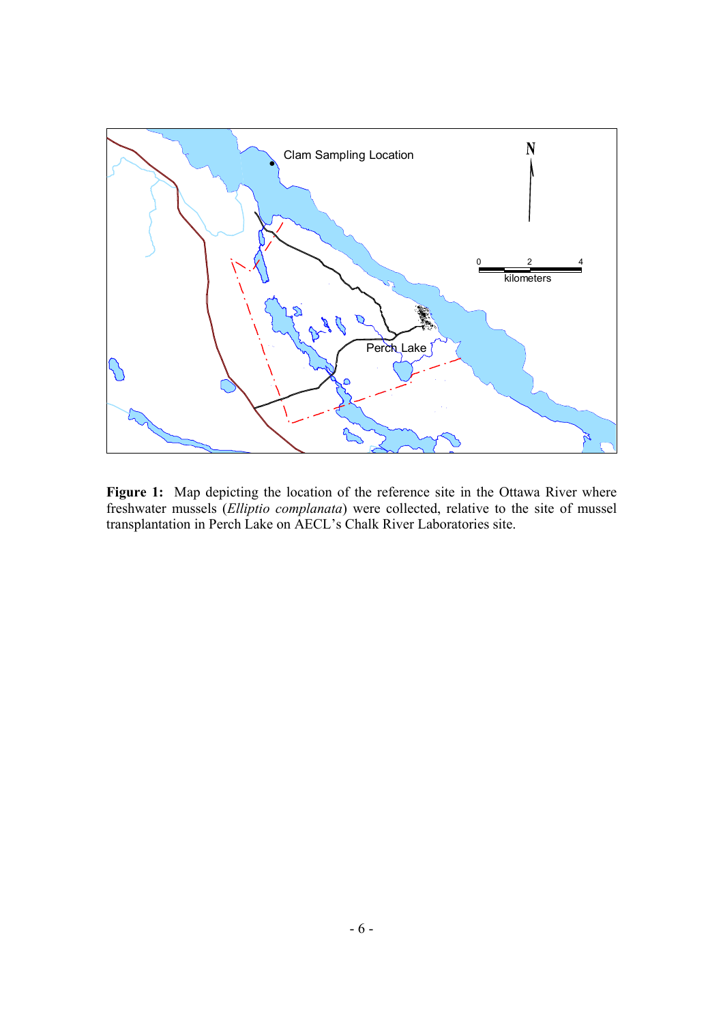

Figure 1: Map depicting the location of the reference site in the Ottawa River where freshwater mussels (*Elliptio complanata*) were collected, relative to the site of mussel transplantation in Perch Lake on AECL's Chalk River Laboratories site.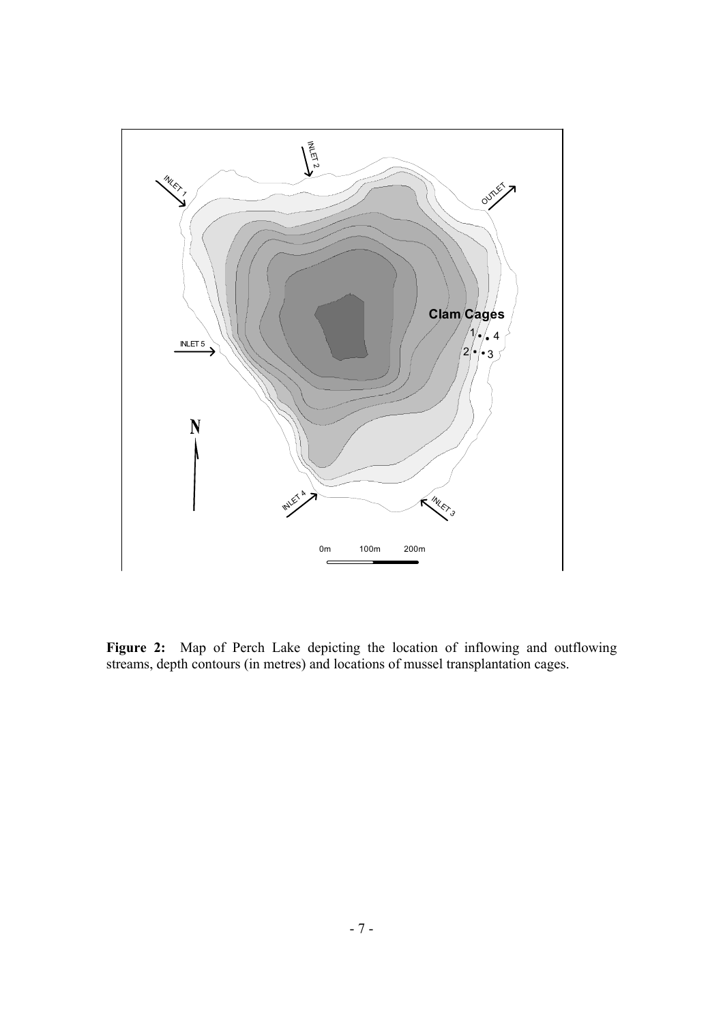

Figure 2: Map of Perch Lake depicting the location of inflowing and outflowing streams, depth contours (in metres) and locations of mussel transplantation cages.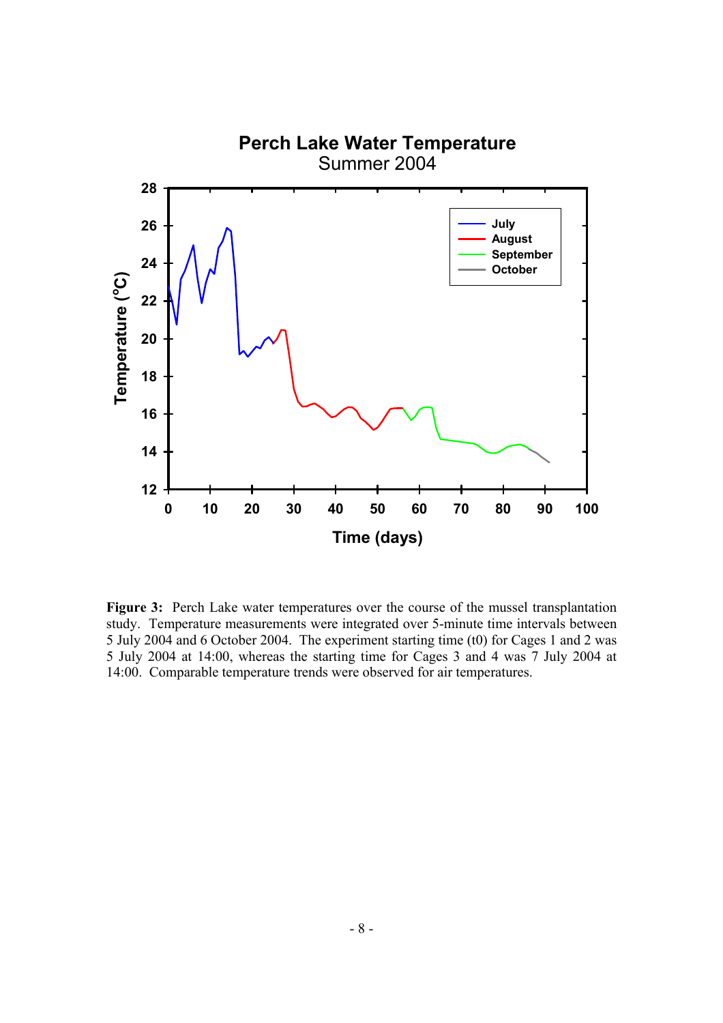

**Figure 3:** Perch Lake water temperatures over the course of the mussel transplantation study. Temperature measurements were integrated over 5-minute time intervals between 5 July 2004 and 6 October 2004. The experiment starting time (t0) for Cages 1 and 2 was 5 July 2004 at 14:00, whereas the starting time for Cages 3 and 4 was 7 July 2004 at 14:00. Comparable temperature trends were observed for air temperatures.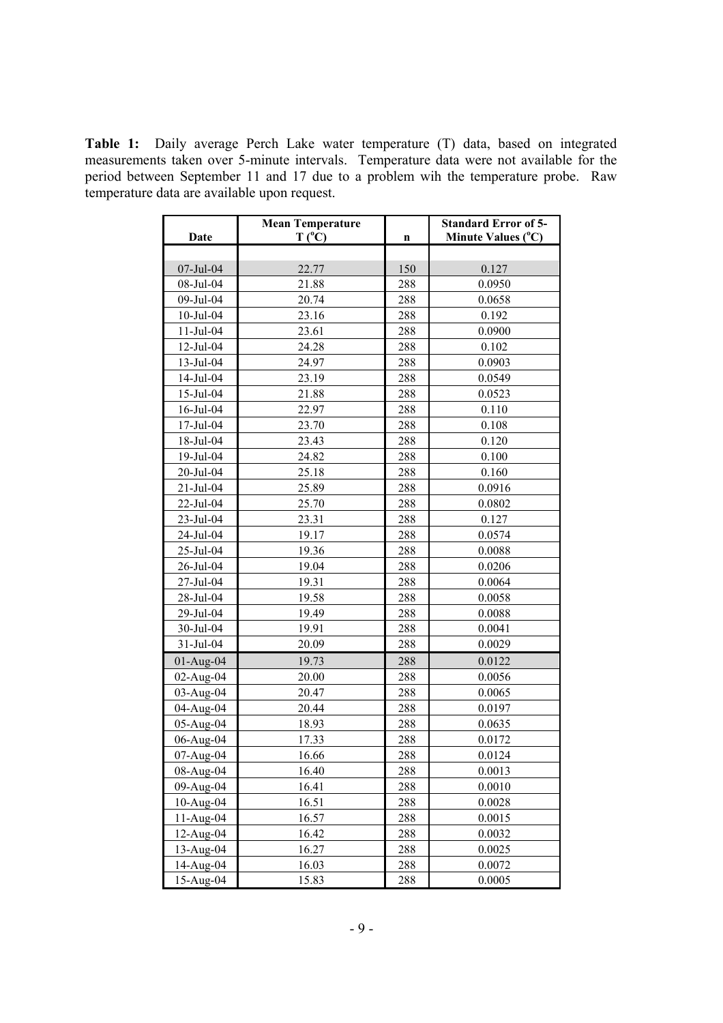**Table 1:** Daily average Perch Lake water temperature (T) data, based on integrated measurements taken over 5-minute intervals. Temperature data were not available for the period between September 11 and 17 due to a problem wih the temperature probe. Raw temperature data are available upon request.

| Date            | <b>Mean Temperature</b><br>$T(^{\circ}C)$ | n   | <b>Standard Error of 5-</b><br>Minute Values (°C) |
|-----------------|-------------------------------------------|-----|---------------------------------------------------|
|                 |                                           |     |                                                   |
| 07-Jul-04       | 22.77                                     | 150 | 0.127                                             |
| 08-Jul-04       | 21.88                                     | 288 | 0.0950                                            |
| 09-Jul-04       | 20.74                                     | 288 | 0.0658                                            |
| $10$ -Jul- $04$ | 23.16                                     | 288 | 0.192                                             |
| $11$ -Jul-04    | 23.61                                     | 288 | 0.0900                                            |
| $12$ -Jul-04    | 24.28                                     | 288 | 0.102                                             |
| 13-Jul-04       | 24.97                                     | 288 | 0.0903                                            |
| 14-Jul-04       | 23.19                                     | 288 | 0.0549                                            |
| 15-Jul-04       | 21.88                                     | 288 | 0.0523                                            |
| 16-Jul-04       | 22.97                                     | 288 | 0.110                                             |
| 17-Jul-04       | 23.70                                     | 288 | 0.108                                             |
| 18-Jul-04       | 23.43                                     | 288 | 0.120                                             |
| 19-Jul-04       | 24.82                                     | 288 | 0.100                                             |
| 20-Jul-04       | 25.18                                     | 288 | 0.160                                             |
| 21-Jul-04       | 25.89                                     | 288 | 0.0916                                            |
| 22-Jul-04       | 25.70                                     | 288 | 0.0802                                            |
| $23 - Jul - 04$ | 23.31                                     | 288 | 0.127                                             |
| 24-Jul-04       | 19.17                                     | 288 | 0.0574                                            |
| 25-Jul-04       | 19.36                                     | 288 | 0.0088                                            |
| 26-Jul-04       | 19.04                                     | 288 | 0.0206                                            |
| 27-Jul-04       | 19.31                                     | 288 | 0.0064                                            |
| 28-Jul-04       | 19.58                                     | 288 | 0.0058                                            |
| 29-Jul-04       | 19.49                                     | 288 | 0.0088                                            |
| 30-Jul-04       | 19.91                                     | 288 | 0.0041                                            |
| 31-Jul-04       | 20.09                                     | 288 | 0.0029                                            |
| $01-Aug-04$     | 19.73                                     | 288 | 0.0122                                            |
| 02-Aug-04       | 20.00                                     | 288 | 0.0056                                            |
| 03-Aug-04       | 20.47                                     | 288 | 0.0065                                            |
| 04-Aug-04       | 20.44                                     | 288 | 0.0197                                            |
| 05-Aug-04       | 18.93                                     | 288 | 0.0635                                            |
| 06-Aug-04       | 17.33                                     | 288 | 0.0172                                            |
| 07-Aug-04       | 16.66                                     | 288 | 0.0124                                            |
| 08-Aug-04       | 16.40                                     | 288 | 0.0013                                            |
| 09-Aug-04       | 16.41                                     | 288 | 0.0010                                            |
| 10-Aug-04       | 16.51                                     | 288 | 0.0028                                            |
| $11-Aug-04$     | 16.57                                     | 288 | 0.0015                                            |
| 12-Aug-04       | 16.42                                     | 288 | 0.0032                                            |
| 13-Aug-04       | 16.27                                     | 288 | 0.0025                                            |
| 14-Aug-04       | 16.03                                     | 288 | 0.0072                                            |
| 15-Aug-04       | 15.83                                     | 288 | 0.0005                                            |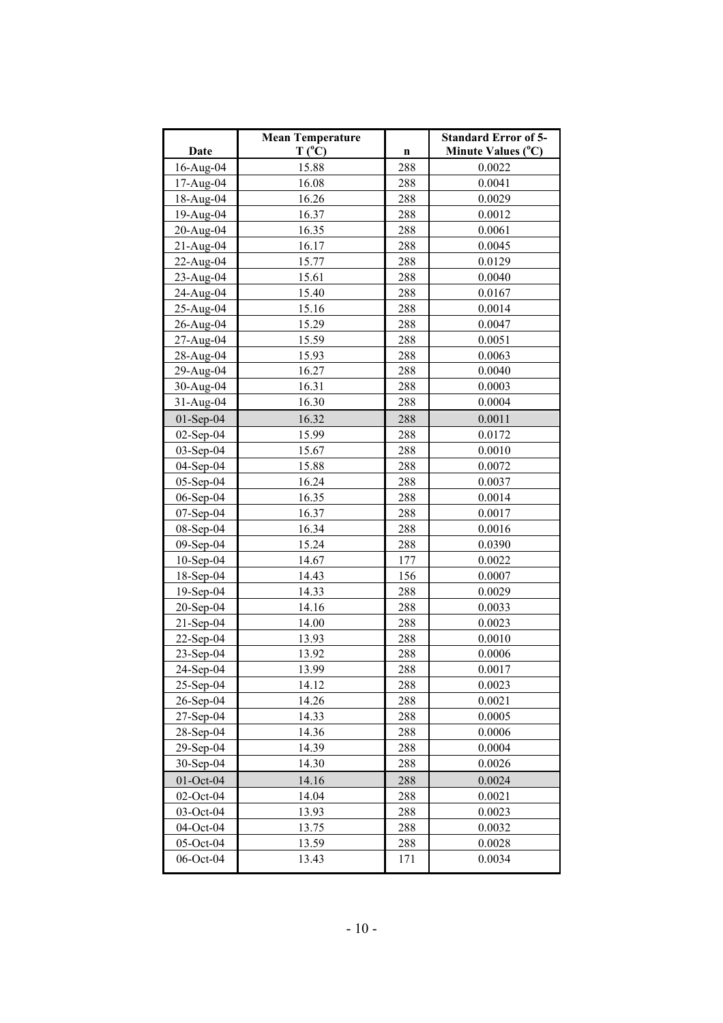|              | <b>Mean Temperature</b> |     | <b>Standard Error of 5-</b> |
|--------------|-------------------------|-----|-----------------------------|
| Date         | $T(^{\circ}C)$          | n   | Minute Values (°C)          |
| 16-Aug-04    | 15.88                   | 288 | 0.0022                      |
| 17-Aug-04    | 16.08                   | 288 | 0.0041                      |
| 18-Aug-04    | 16.26                   | 288 | 0.0029                      |
| 19-Aug-04    | 16.37                   | 288 | 0.0012                      |
| 20-Aug-04    | 16.35                   | 288 | 0.0061                      |
| $21-Aug-04$  | 16.17                   | 288 | 0.0045                      |
| 22-Aug-04    | 15.77                   | 288 | 0.0129                      |
| 23-Aug-04    | 15.61                   | 288 | 0.0040                      |
| 24-Aug-04    | 15.40                   | 288 | 0.0167                      |
| 25-Aug-04    | 15.16                   | 288 | 0.0014                      |
| 26-Aug-04    | 15.29                   | 288 | 0.0047                      |
| 27-Aug-04    | 15.59                   | 288 | 0.0051                      |
| 28-Aug-04    | 15.93                   | 288 | 0.0063                      |
| 29-Aug-04    | 16.27                   | 288 | 0.0040                      |
| 30-Aug-04    | 16.31                   | 288 | 0.0003                      |
| 31-Aug-04    | 16.30                   | 288 | 0.0004                      |
| $01-Sep-04$  | 16.32                   | 288 | 0.0011                      |
| $02$ -Sep-04 | 15.99                   | 288 | 0.0172                      |
| 03-Sep-04    | 15.67                   | 288 | 0.0010                      |
| 04-Sep-04    | 15.88                   | 288 | 0.0072                      |
| 05-Sep-04    | 16.24                   | 288 | 0.0037                      |
| 06-Sep-04    | 16.35                   | 288 | 0.0014                      |
| 07-Sep-04    | 16.37                   | 288 | 0.0017                      |
| 08-Sep-04    | 16.34                   | 288 | 0.0016                      |
| 09-Sep-04    | 15.24                   | 288 | 0.0390                      |
| $10-Sep-04$  | 14.67                   | 177 | 0.0022                      |
| 18-Sep-04    | 14.43                   | 156 | 0.0007                      |
| 19-Sep-04    | 14.33                   | 288 | 0.0029                      |
| $20-Sep-04$  | 14.16                   | 288 | 0.0033                      |
| $21-Sep-04$  | 14.00                   | 288 | 0.0023                      |
| 22-Sep-04    | 13.93                   | 288 | 0.0010                      |
| 23-Sep-04    | 13.92                   | 288 | 0.0006                      |
| 24-Sep-04    | 13.99                   | 288 | 0.0017                      |
| $25-Sep-04$  | 14.12                   | 288 | 0.0023                      |
| 26-Sep-04    | 14.26                   | 288 | 0.0021                      |
| $27-Sep-04$  | 14.33                   | 288 | 0.0005                      |
| 28-Sep-04    | 14.36                   | 288 | 0.0006                      |
| 29-Sep-04    | 14.39                   | 288 | 0.0004                      |
| $30-Sep-04$  | 14.30                   | 288 | 0.0026                      |
| 01-Oct-04    | 14.16                   | 288 | 0.0024                      |
| 02-Oct-04    | 14.04                   | 288 | 0.0021                      |
| 03-Oct-04    | 13.93                   | 288 | 0.0023                      |
| 04-Oct-04    | 13.75                   | 288 | 0.0032                      |
| 05-Oct-04    | 13.59                   | 288 | 0.0028                      |
| 06-Oct-04    | 13.43                   | 171 | 0.0034                      |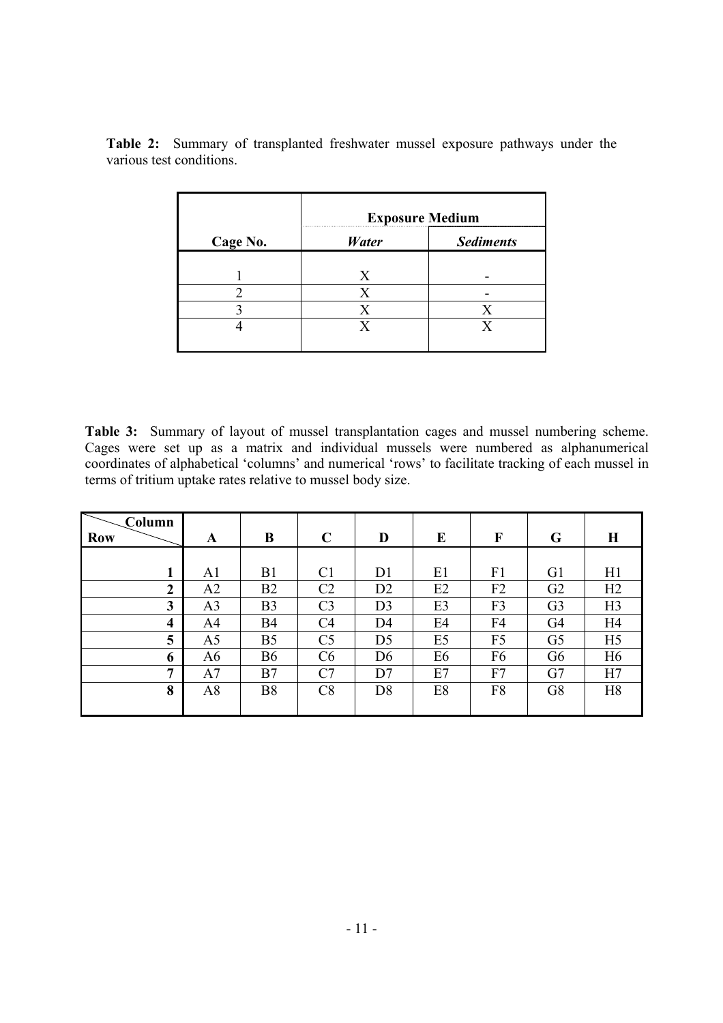|          | <b>Exposure Medium</b> |                  |  |  |  |
|----------|------------------------|------------------|--|--|--|
| Cage No. | <b>Water</b>           | <b>Sediments</b> |  |  |  |
|          | X                      |                  |  |  |  |
|          |                        |                  |  |  |  |
|          |                        |                  |  |  |  |
|          |                        |                  |  |  |  |

**Table 2:** Summary of transplanted freshwater mussel exposure pathways under the various test conditions.

**Table 3:** Summary of layout of mussel transplantation cages and mussel numbering scheme. Cages were set up as a matrix and individual mussels were numbered as alphanumerical coordinates of alphabetical 'columns' and numerical 'rows' to facilitate tracking of each mussel in terms of tritium uptake rates relative to mussel body size.

| Column                  |                |                |                |                |                |                |                |                |
|-------------------------|----------------|----------------|----------------|----------------|----------------|----------------|----------------|----------------|
| <b>Row</b>              | A              | B              | $\mathbf C$    | D              | E              | F              | G              | $\bf H$        |
|                         |                |                |                |                |                |                |                |                |
| 1                       | A1             | B1             | C <sub>1</sub> | D <sub>1</sub> | E1             | F1             | G <sub>1</sub> | H1             |
| $\boldsymbol{2}$        | A2             | B <sub>2</sub> | C <sub>2</sub> | D2             | E2             | F2             | G <sub>2</sub> | H2             |
| 3                       | A <sub>3</sub> | B <sub>3</sub> | C <sub>3</sub> | D <sub>3</sub> | E3             | F3             | G <sub>3</sub> | H <sub>3</sub> |
| $\overline{\mathbf{4}}$ | A4             | <b>B4</b>      | C <sub>4</sub> | D <sub>4</sub> | E4             | F4             | G <sub>4</sub> | H <sub>4</sub> |
| 5                       | A <sub>5</sub> | B <sub>5</sub> | C <sub>5</sub> | D <sub>5</sub> | E <sub>5</sub> | F <sub>5</sub> | G <sub>5</sub> | H <sub>5</sub> |
| 6                       | A6             | <b>B6</b>      | C6             | D <sub>6</sub> | E6             | F6             | G <sub>6</sub> | H <sub>6</sub> |
| 7                       | A7             | B7             | C7             | D7             | E7             | F7             | G7             | H7             |
| 8                       | A <sub>8</sub> | <b>B8</b>      | C8             | D <sub>8</sub> | E8             | F8             | G8             | H <sub>8</sub> |
|                         |                |                |                |                |                |                |                |                |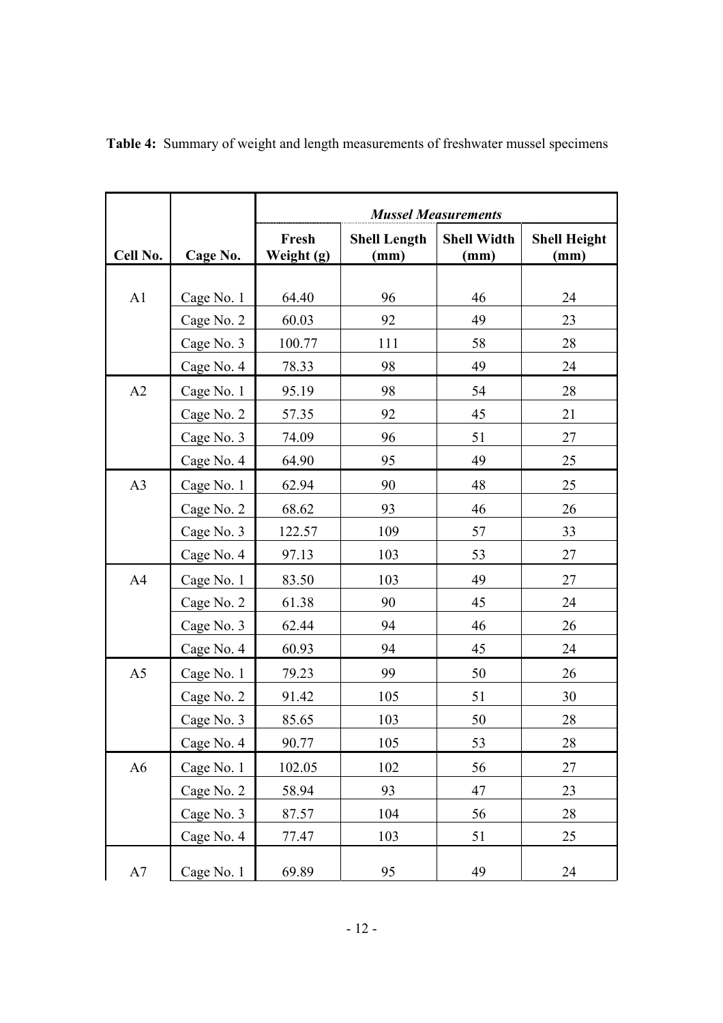|                |            | <b>Mussel Measurements</b> |                             |                            |                             |  |
|----------------|------------|----------------------------|-----------------------------|----------------------------|-----------------------------|--|
| Cell No.       | Cage No.   | Fresh<br>Weight (g)        | <b>Shell Length</b><br>(mm) | <b>Shell Width</b><br>(mm) | <b>Shell Height</b><br>(mm) |  |
|                |            |                            |                             |                            |                             |  |
| A1             | Cage No. 1 | 64.40                      | 96                          | 46                         | 24                          |  |
|                | Cage No. 2 | 60.03                      | 92                          | 49                         | 23                          |  |
|                | Cage No. 3 | 100.77                     | 111                         | 58                         | 28                          |  |
|                | Cage No. 4 | 78.33                      | 98                          | 49                         | 24                          |  |
| A2             | Cage No. 1 | 95.19                      | 98                          | 54                         | 28                          |  |
|                | Cage No. 2 | 57.35                      | 92                          | 45                         | 21                          |  |
|                | Cage No. 3 | 74.09                      | 96                          | 51                         | 27                          |  |
|                | Cage No. 4 | 64.90                      | 95                          | 49                         | 25                          |  |
| A <sub>3</sub> | Cage No. 1 | 62.94                      | 90                          | 48                         | 25                          |  |
|                | Cage No. 2 | 68.62                      | 93                          | 46                         | 26                          |  |
|                | Cage No. 3 | 122.57                     | 109                         | 57                         | 33                          |  |
|                | Cage No. 4 | 97.13                      | 103                         | 53                         | 27                          |  |
| A <sub>4</sub> | Cage No. 1 | 83.50                      | 103                         | 49                         | 27                          |  |
|                | Cage No. 2 | 61.38                      | 90                          | 45                         | 24                          |  |
|                | Cage No. 3 | 62.44                      | 94                          | 46                         | 26                          |  |
|                | Cage No. 4 | 60.93                      | 94                          | 45                         | 24                          |  |
| A <sub>5</sub> | Cage No. 1 | 79.23                      | 99                          | 50                         | 26                          |  |
|                | Cage No. 2 | 91.42                      | 105                         | 51                         | 30                          |  |
|                | Cage No. 3 | 85.65                      | 103                         | 50                         | 28                          |  |
|                | Cage No. 4 | 90.77                      | 105                         | 53                         | 28                          |  |
| A <sub>6</sub> | Cage No. 1 | 102.05                     | 102                         | 56                         | 27                          |  |
|                | Cage No. 2 | 58.94                      | 93                          | 47                         | 23                          |  |
|                | Cage No. 3 | 87.57                      | 104                         | 56                         | 28                          |  |
|                | Cage No. 4 | 77.47                      | 103                         | 51                         | 25                          |  |
| $\rm A7$       | Cage No. 1 | 69.89                      | 95                          | 49                         | 24                          |  |

**Table 4:** Summary of weight and length measurements of freshwater mussel specimens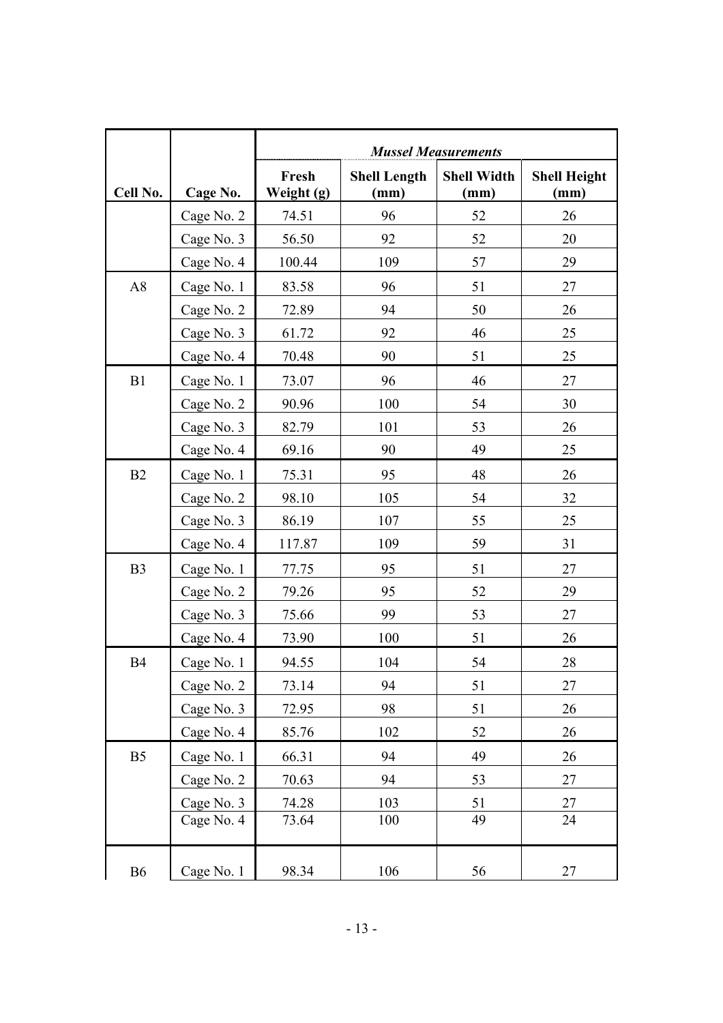|                |            | <b>Mussel Measurements</b> |                             |                            |                             |  |
|----------------|------------|----------------------------|-----------------------------|----------------------------|-----------------------------|--|
| Cell No.       | Cage No.   | Fresh<br>Weight (g)        | <b>Shell Length</b><br>(mm) | <b>Shell Width</b><br>(mm) | <b>Shell Height</b><br>(mm) |  |
|                | Cage No. 2 | 74.51                      | 96                          | 52                         | 26                          |  |
|                | Cage No. 3 | 56.50                      | 92                          | 52                         | 20                          |  |
|                | Cage No. 4 | 100.44                     | 109                         | 57                         | 29                          |  |
| A8             | Cage No. 1 | 83.58                      | 96                          | 51                         | 27                          |  |
|                | Cage No. 2 | 72.89                      | 94                          | 50                         | 26                          |  |
|                | Cage No. 3 | 61.72                      | 92                          | 46                         | 25                          |  |
|                | Cage No. 4 | 70.48                      | 90                          | 51                         | 25                          |  |
| B1             | Cage No. 1 | 73.07                      | 96                          | 46                         | 27                          |  |
|                | Cage No. 2 | 90.96                      | 100                         | 54                         | 30                          |  |
|                | Cage No. 3 | 82.79                      | 101                         | 53                         | 26                          |  |
|                | Cage No. 4 | 69.16                      | 90                          | 49                         | 25                          |  |
| B2             | Cage No. 1 | 75.31                      | 95                          | 48                         | 26                          |  |
|                | Cage No. 2 | 98.10                      | 105                         | 54                         | 32                          |  |
|                | Cage No. 3 | 86.19                      | 107                         | 55                         | 25                          |  |
|                | Cage No. 4 | 117.87                     | 109                         | 59                         | 31                          |  |
| B <sub>3</sub> | Cage No. 1 | 77.75                      | 95                          | 51                         | 27                          |  |
|                | Cage No. 2 | 79.26                      | 95                          | 52                         | 29                          |  |
|                | Cage No. 3 | 75.66                      | 99                          | 53                         | 27                          |  |
|                | Cage No. 4 | 73.90                      | 100                         | 51                         | 26                          |  |
| <b>B4</b>      | Cage No. 1 | 94.55                      | 104                         | 54                         | 28                          |  |
|                | Cage No. 2 | 73.14                      | 94                          | 51                         | 27                          |  |
|                | Cage No. 3 | 72.95                      | 98                          | 51                         | 26                          |  |
|                | Cage No. 4 | 85.76                      | 102                         | 52                         | 26                          |  |
| B <sub>5</sub> | Cage No. 1 | 66.31                      | 94                          | 49                         | 26                          |  |
|                | Cage No. 2 | 70.63                      | 94                          | 53                         | 27                          |  |
|                | Cage No. 3 | 74.28                      | 103                         | 51                         | 27                          |  |
|                | Cage No. 4 | 73.64                      | 100                         | 49                         | 24                          |  |
| <b>B6</b>      | Cage No. 1 | 98.34                      | 106                         | 56                         | $27\,$                      |  |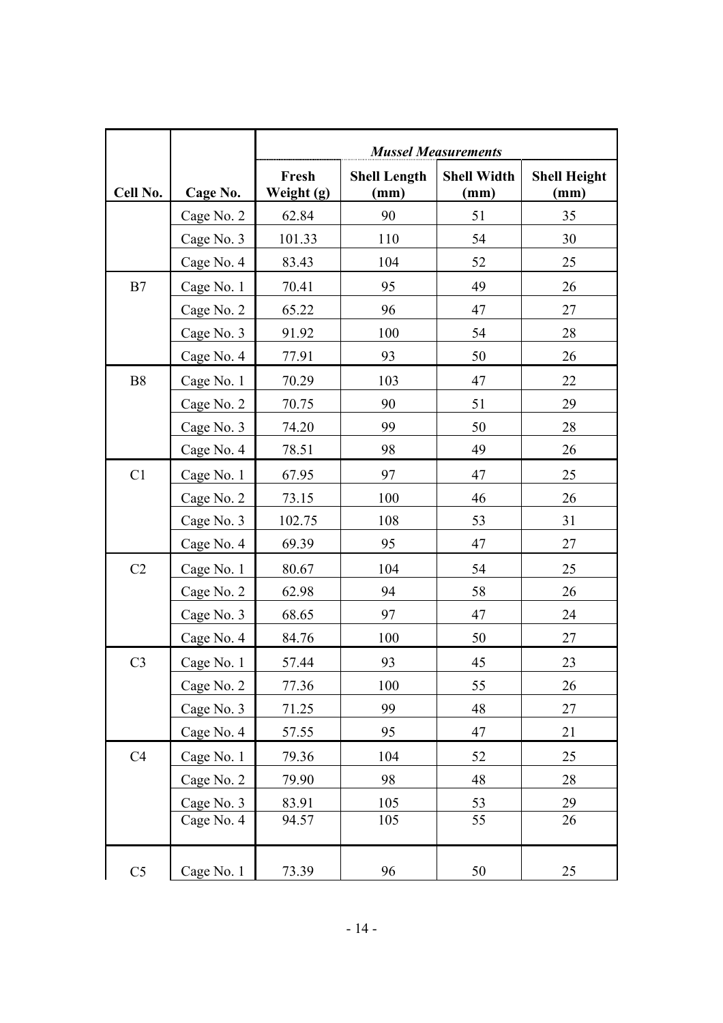|                |            | <b>Mussel Measurements</b> |                             |                            |                             |  |
|----------------|------------|----------------------------|-----------------------------|----------------------------|-----------------------------|--|
| Cell No.       | Cage No.   | Fresh<br>Weight (g)        | <b>Shell Length</b><br>(mm) | <b>Shell Width</b><br>(mm) | <b>Shell Height</b><br>(mm) |  |
|                | Cage No. 2 | 62.84                      | 90                          | 51                         | 35                          |  |
|                | Cage No. 3 | 101.33                     | 110                         | 54                         | 30                          |  |
|                | Cage No. 4 | 83.43                      | 104                         | 52                         | 25                          |  |
| B7             | Cage No. 1 | 70.41                      | 95                          | 49                         | 26                          |  |
|                | Cage No. 2 | 65.22                      | 96                          | 47                         | 27                          |  |
|                | Cage No. 3 | 91.92                      | 100                         | 54                         | 28                          |  |
|                | Cage No. 4 | 77.91                      | 93                          | 50                         | 26                          |  |
| <b>B8</b>      | Cage No. 1 | 70.29                      | 103                         | 47                         | 22                          |  |
|                | Cage No. 2 | 70.75                      | 90                          | 51                         | 29                          |  |
|                | Cage No. 3 | 74.20                      | 99                          | 50                         | 28                          |  |
|                | Cage No. 4 | 78.51                      | 98                          | 49                         | 26                          |  |
| C1             | Cage No. 1 | 67.95                      | 97                          | 47                         | 25                          |  |
|                | Cage No. 2 | 73.15                      | 100                         | 46                         | 26                          |  |
|                | Cage No. 3 | 102.75                     | 108                         | 53                         | 31                          |  |
|                | Cage No. 4 | 69.39                      | 95                          | 47                         | 27                          |  |
| C <sub>2</sub> | Cage No. 1 | 80.67                      | 104                         | 54                         | 25                          |  |
|                | Cage No. 2 | 62.98                      | 94                          | 58                         | 26                          |  |
|                | Cage No. 3 | 68.65                      | 97                          | 47                         | 24                          |  |
|                | Cage No. 4 | 84.76                      | 100                         | 50                         | 27                          |  |
| C <sub>3</sub> | Cage No. 1 | 57.44                      | 93                          | 45                         | 23                          |  |
|                | Cage No. 2 | 77.36                      | 100                         | 55                         | 26                          |  |
|                | Cage No. 3 | 71.25                      | 99                          | 48                         | 27                          |  |
|                | Cage No. 4 | 57.55                      | 95                          | 47                         | 21                          |  |
| C4             | Cage No. 1 | 79.36                      | 104                         | 52                         | 25                          |  |
|                | Cage No. 2 | 79.90                      | 98                          | 48                         | 28                          |  |
|                | Cage No. 3 | 83.91                      | 105                         | 53                         | 29                          |  |
|                | Cage No. 4 | 94.57                      | 105                         | 55                         | 26                          |  |
| C <sub>5</sub> | Cage No. 1 | 73.39                      | 96                          | 50                         | 25                          |  |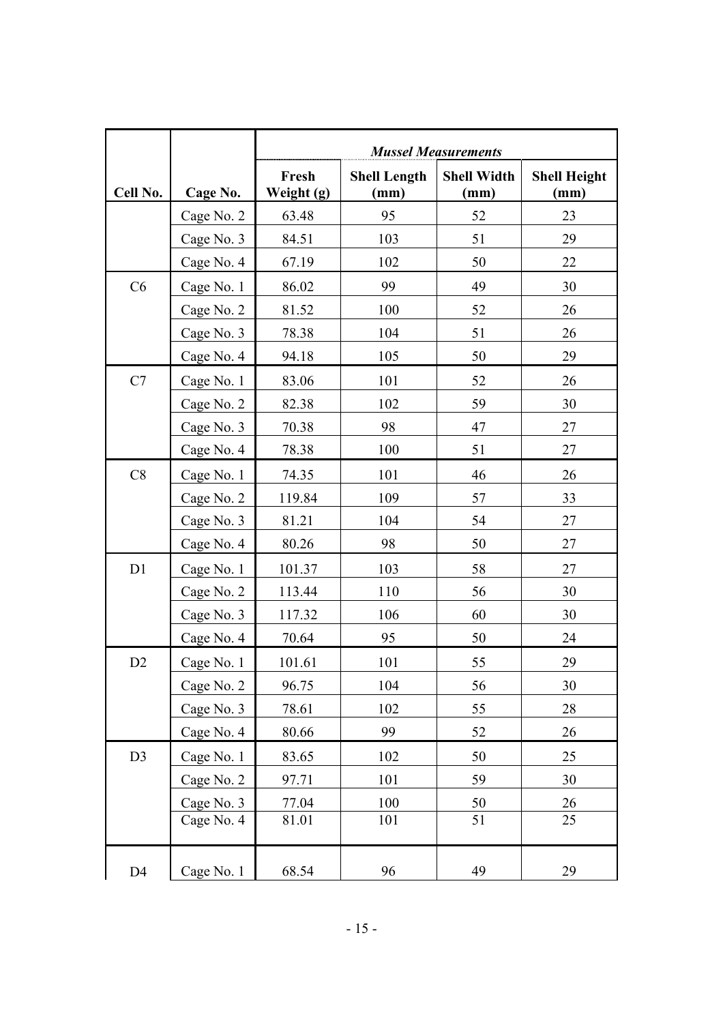|                |            | <b>Mussel Measurements</b> |                             |                            |                             |  |
|----------------|------------|----------------------------|-----------------------------|----------------------------|-----------------------------|--|
| Cell No.       | Cage No.   | Fresh<br>Weight (g)        | <b>Shell Length</b><br>(mm) | <b>Shell Width</b><br>(mm) | <b>Shell Height</b><br>(mm) |  |
|                | Cage No. 2 | 63.48                      | 95                          | 52                         | 23                          |  |
|                | Cage No. 3 | 84.51                      | 103                         | 51                         | 29                          |  |
|                | Cage No. 4 | 67.19                      | 102                         | 50                         | 22                          |  |
| C6             | Cage No. 1 | 86.02                      | 99                          | 49                         | 30                          |  |
|                | Cage No. 2 | 81.52                      | 100                         | 52                         | 26                          |  |
|                | Cage No. 3 | 78.38                      | 104                         | 51                         | 26                          |  |
|                | Cage No. 4 | 94.18                      | 105                         | 50                         | 29                          |  |
| C7             | Cage No. 1 | 83.06                      | 101                         | 52                         | 26                          |  |
|                | Cage No. 2 | 82.38                      | 102                         | 59                         | 30                          |  |
|                | Cage No. 3 | 70.38                      | 98                          | 47                         | 27                          |  |
|                | Cage No. 4 | 78.38                      | 100                         | 51                         | 27                          |  |
| C8             | Cage No. 1 | 74.35                      | 101                         | 46                         | 26                          |  |
|                | Cage No. 2 | 119.84                     | 109                         | 57                         | 33                          |  |
|                | Cage No. 3 | 81.21                      | 104                         | 54                         | 27                          |  |
|                | Cage No. 4 | 80.26                      | 98                          | 50                         | 27                          |  |
| D1             | Cage No. 1 | 101.37                     | 103                         | 58                         | 27                          |  |
|                | Cage No. 2 | 113.44                     | 110                         | 56                         | 30                          |  |
|                | Cage No. 3 | 117.32                     | 106                         | 60                         | 30                          |  |
|                | Cage No. 4 | 70.64                      | 95                          | 50                         | 24                          |  |
| D2             | Cage No. 1 | 101.61                     | 101                         | 55                         | 29                          |  |
|                | Cage No. 2 | 96.75                      | 104                         | 56                         | 30                          |  |
|                | Cage No. 3 | 78.61                      | 102                         | 55                         | 28                          |  |
|                | Cage No. 4 | 80.66                      | 99                          | 52                         | 26                          |  |
| D <sub>3</sub> | Cage No. 1 | 83.65                      | 102                         | 50                         | 25                          |  |
|                | Cage No. 2 | 97.71                      | 101                         | 59                         | 30                          |  |
|                | Cage No. 3 | 77.04                      | 100                         | 50                         | 26                          |  |
|                | Cage No. 4 | 81.01                      | 101                         | 51                         | 25                          |  |
| D <sub>4</sub> | Cage No. 1 | 68.54                      | 96                          | 49                         | 29                          |  |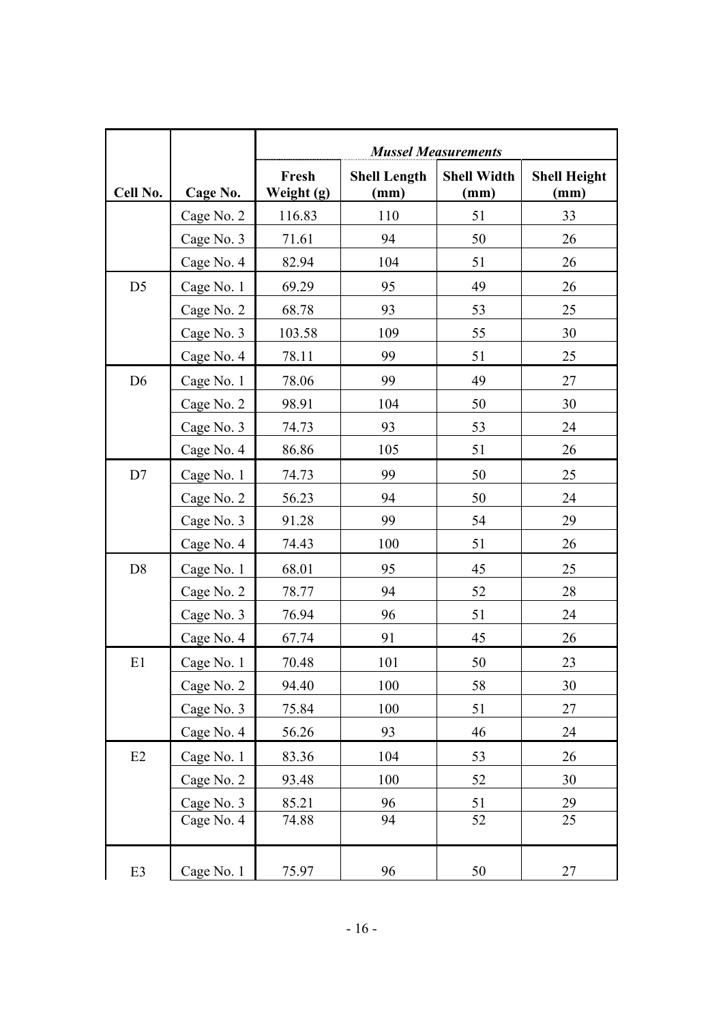|                |            | <b>Mussel Measurements</b> |                             |                            |                             |  |
|----------------|------------|----------------------------|-----------------------------|----------------------------|-----------------------------|--|
| Cell No.       | Cage No.   | Fresh<br>Weight (g)        | <b>Shell Length</b><br>(mm) | <b>Shell Width</b><br>(mm) | <b>Shell Height</b><br>(mm) |  |
|                | Cage No. 2 | 116.83                     | 110                         | 51                         | 33                          |  |
|                | Cage No. 3 | 71.61                      | 94                          | 50                         | 26                          |  |
|                | Cage No. 4 | 82.94                      | 104                         | 51                         | 26                          |  |
| D <sub>5</sub> | Cage No. 1 | 69.29                      | 95                          | 49                         | 26                          |  |
|                | Cage No. 2 | 68.78                      | 93                          | 53                         | 25                          |  |
|                | Cage No. 3 | 103.58                     | 109                         | 55                         | 30                          |  |
|                | Cage No. 4 | 78.11                      | 99                          | 51                         | 25                          |  |
| D <sub>6</sub> | Cage No. 1 | 78.06                      | 99                          | 49                         | 27                          |  |
|                | Cage No. 2 | 98.91                      | 104                         | 50                         | 30                          |  |
|                | Cage No. 3 | 74.73                      | 93                          | 53                         | 24                          |  |
|                | Cage No. 4 | 86.86                      | 105                         | 51                         | 26                          |  |
| D7             | Cage No. 1 | 74.73                      | 99                          | 50                         | 25                          |  |
|                | Cage No. 2 | 56.23                      | 94                          | 50                         | 24                          |  |
|                | Cage No. 3 | 91.28                      | 99                          | 54                         | 29                          |  |
|                | Cage No. 4 | 74.43                      | 100                         | 51                         | 26                          |  |
| D <sub>8</sub> | Cage No. 1 | 68.01                      | 95                          | 45                         | 25                          |  |
|                | Cage No. 2 | 78.77                      | 94                          | 52                         | 28                          |  |
|                | Cage No. 3 | 76.94                      | 96                          | 51                         | 24                          |  |
|                | Cage No. 4 | 67.74                      | 91                          | 45                         | 26                          |  |
| E1             | Cage No. 1 | 70.48                      | 101                         | 50                         | 23                          |  |
|                | Cage No. 2 | 94.40                      | 100                         | 58                         | 30                          |  |
|                | Cage No. 3 | 75.84                      | 100                         | 51                         | 27                          |  |
|                | Cage No. 4 | 56.26                      | 93                          | 46                         | 24                          |  |
| E2             | Cage No. 1 | 83.36                      | 104                         | 53                         | 26                          |  |
|                | Cage No. 2 | 93.48                      | 100                         | 52                         | 30                          |  |
|                | Cage No. 3 | 85.21                      | 96                          | 51                         | 29                          |  |
|                | Cage No. 4 | 74.88                      | 94                          | 52                         | 25                          |  |
| E3             | Cage No. 1 | 75.97                      | 96                          | 50                         | 27                          |  |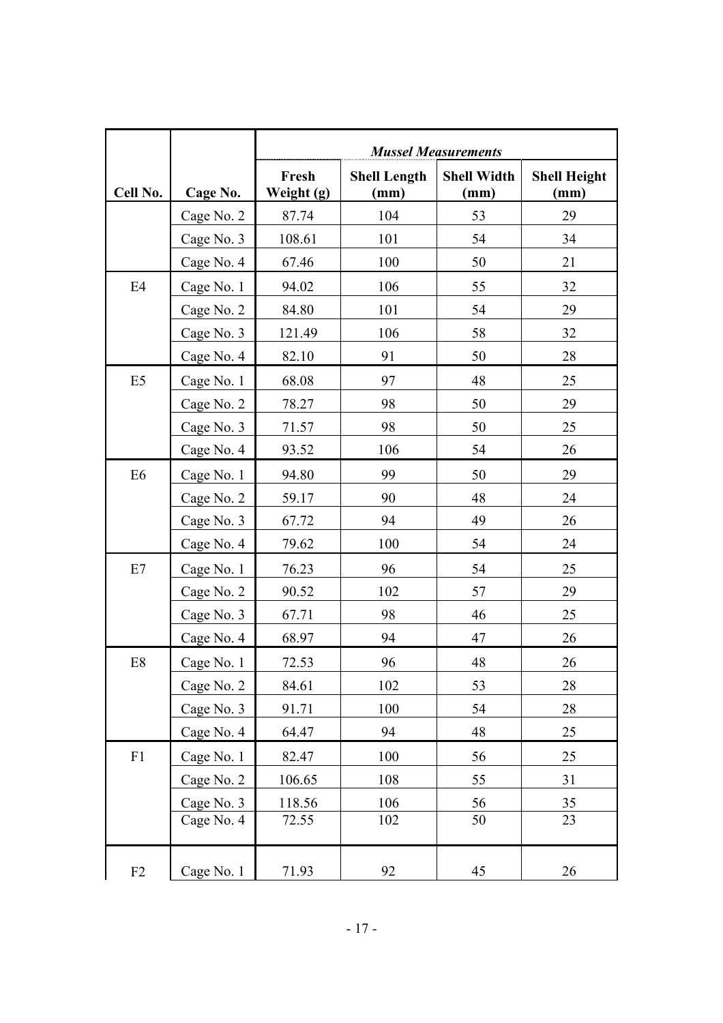|                |            | <b>Mussel Measurements</b> |                             |                            |                             |  |
|----------------|------------|----------------------------|-----------------------------|----------------------------|-----------------------------|--|
| Cell No.       | Cage No.   | Fresh<br>Weight (g)        | <b>Shell Length</b><br>(mm) | <b>Shell Width</b><br>(mm) | <b>Shell Height</b><br>(mm) |  |
|                | Cage No. 2 | 87.74                      | 104                         | 53                         | 29                          |  |
|                | Cage No. 3 | 108.61                     | 101                         | 54                         | 34                          |  |
|                | Cage No. 4 | 67.46                      | 100                         | 50                         | 21                          |  |
| E4             | Cage No. 1 | 94.02                      | 106                         | 55                         | 32                          |  |
|                | Cage No. 2 | 84.80                      | 101                         | 54                         | 29                          |  |
|                | Cage No. 3 | 121.49                     | 106                         | 58                         | 32                          |  |
|                | Cage No. 4 | 82.10                      | 91                          | 50                         | 28                          |  |
| E <sub>5</sub> | Cage No. 1 | 68.08                      | 97                          | 48                         | 25                          |  |
|                | Cage No. 2 | 78.27                      | 98                          | 50                         | 29                          |  |
|                | Cage No. 3 | 71.57                      | 98                          | 50                         | 25                          |  |
|                | Cage No. 4 | 93.52                      | 106                         | 54                         | 26                          |  |
| E <sub>6</sub> | Cage No. 1 | 94.80                      | 99                          | 50                         | 29                          |  |
|                | Cage No. 2 | 59.17                      | 90                          | 48                         | 24                          |  |
|                | Cage No. 3 | 67.72                      | 94                          | 49                         | 26                          |  |
|                | Cage No. 4 | 79.62                      | 100                         | 54                         | 24                          |  |
| E7             | Cage No. 1 | 76.23                      | 96                          | 54                         | 25                          |  |
|                | Cage No. 2 | 90.52                      | 102                         | 57                         | 29                          |  |
|                | Cage No. 3 | 67.71                      | 98                          | 46                         | 25                          |  |
|                | Cage No. 4 | 68.97                      | 94                          | 47                         | 26                          |  |
| E8             | Cage No. 1 | 72.53                      | 96                          | 48                         | 26                          |  |
|                | Cage No. 2 | 84.61                      | 102                         | 53                         | 28                          |  |
|                | Cage No. 3 | 91.71                      | 100                         | 54                         | 28                          |  |
|                | Cage No. 4 | 64.47                      | 94                          | 48                         | 25                          |  |
| F1             | Cage No. 1 | 82.47                      | 100                         | 56                         | 25                          |  |
|                | Cage No. 2 | 106.65                     | 108                         | 55                         | 31                          |  |
|                | Cage No. 3 | 118.56                     | 106                         | 56                         | 35                          |  |
|                | Cage No. 4 | 72.55                      | 102                         | 50                         | 23                          |  |
| F2             | Cage No. 1 | 71.93                      | 92                          | 45                         | $26\,$                      |  |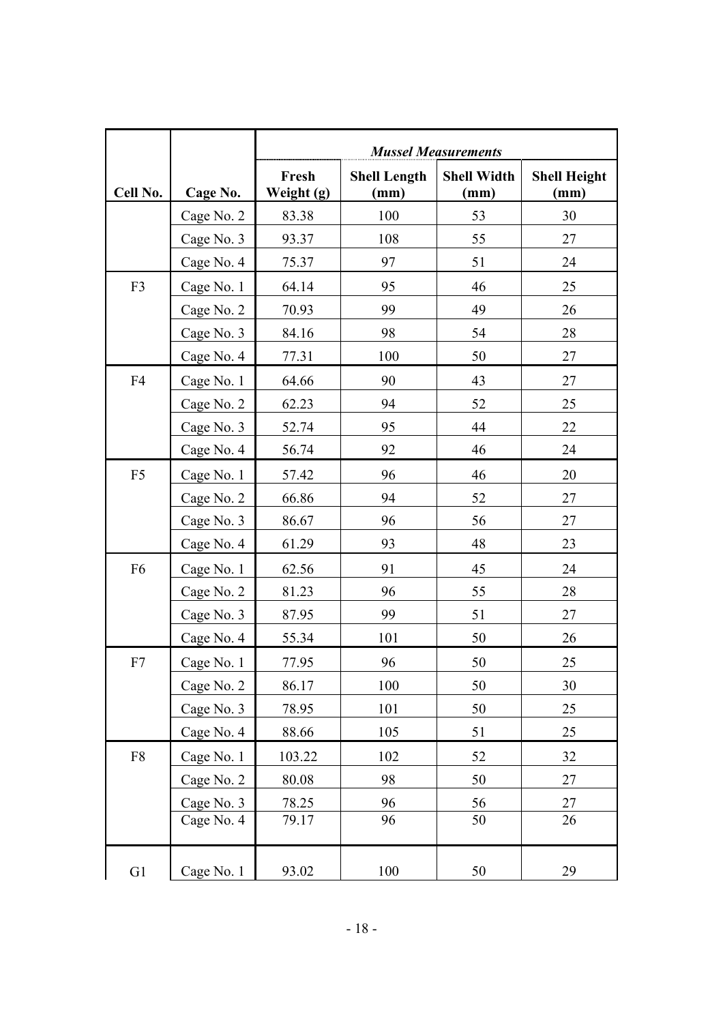|                |            | <b>Mussel Measurements</b> |                             |                            |                             |  |
|----------------|------------|----------------------------|-----------------------------|----------------------------|-----------------------------|--|
| Cell No.       | Cage No.   | Fresh<br>Weight (g)        | <b>Shell Length</b><br>(mm) | <b>Shell Width</b><br>(mm) | <b>Shell Height</b><br>(mm) |  |
|                | Cage No. 2 | 83.38                      | 100                         | 53                         | 30                          |  |
|                | Cage No. 3 | 93.37                      | 108                         | 55                         | 27                          |  |
|                | Cage No. 4 | 75.37                      | 97                          | 51                         | 24                          |  |
| F <sub>3</sub> | Cage No. 1 | 64.14                      | 95                          | 46                         | 25                          |  |
|                | Cage No. 2 | 70.93                      | 99                          | 49                         | 26                          |  |
|                | Cage No. 3 | 84.16                      | 98                          | 54                         | 28                          |  |
|                | Cage No. 4 | 77.31                      | 100                         | 50                         | 27                          |  |
| F <sub>4</sub> | Cage No. 1 | 64.66                      | 90                          | 43                         | 27                          |  |
|                | Cage No. 2 | 62.23                      | 94                          | 52                         | 25                          |  |
|                | Cage No. 3 | 52.74                      | 95                          | 44                         | 22                          |  |
|                | Cage No. 4 | 56.74                      | 92                          | 46                         | 24                          |  |
| F <sub>5</sub> | Cage No. 1 | 57.42                      | 96                          | 46                         | 20                          |  |
|                | Cage No. 2 | 66.86                      | 94                          | 52                         | 27                          |  |
|                | Cage No. 3 | 86.67                      | 96                          | 56                         | 27                          |  |
|                | Cage No. 4 | 61.29                      | 93                          | 48                         | 23                          |  |
| F <sub>6</sub> | Cage No. 1 | 62.56                      | 91                          | 45                         | 24                          |  |
|                | Cage No. 2 | 81.23                      | 96                          | 55                         | 28                          |  |
|                | Cage No. 3 | 87.95                      | 99                          | 51                         | 27                          |  |
|                | Cage No. 4 | 55.34                      | 101                         | 50                         | 26                          |  |
| F7             | Cage No. 1 | 77.95                      | 96                          | 50                         | 25                          |  |
|                | Cage No. 2 | 86.17                      | 100                         | 50                         | 30                          |  |
|                | Cage No. 3 | 78.95                      | 101                         | 50                         | 25                          |  |
|                | Cage No. 4 | 88.66                      | 105                         | 51                         | 25                          |  |
| ${\rm F}8$     | Cage No. 1 | 103.22                     | 102                         | 52                         | 32                          |  |
|                | Cage No. 2 | 80.08                      | 98                          | 50                         | 27                          |  |
|                | Cage No. 3 | 78.25                      | 96                          | 56                         | 27                          |  |
|                | Cage No. 4 | 79.17                      | 96                          | 50                         | 26                          |  |
| G1             | Cage No. 1 | 93.02                      | 100                         | 50                         | 29                          |  |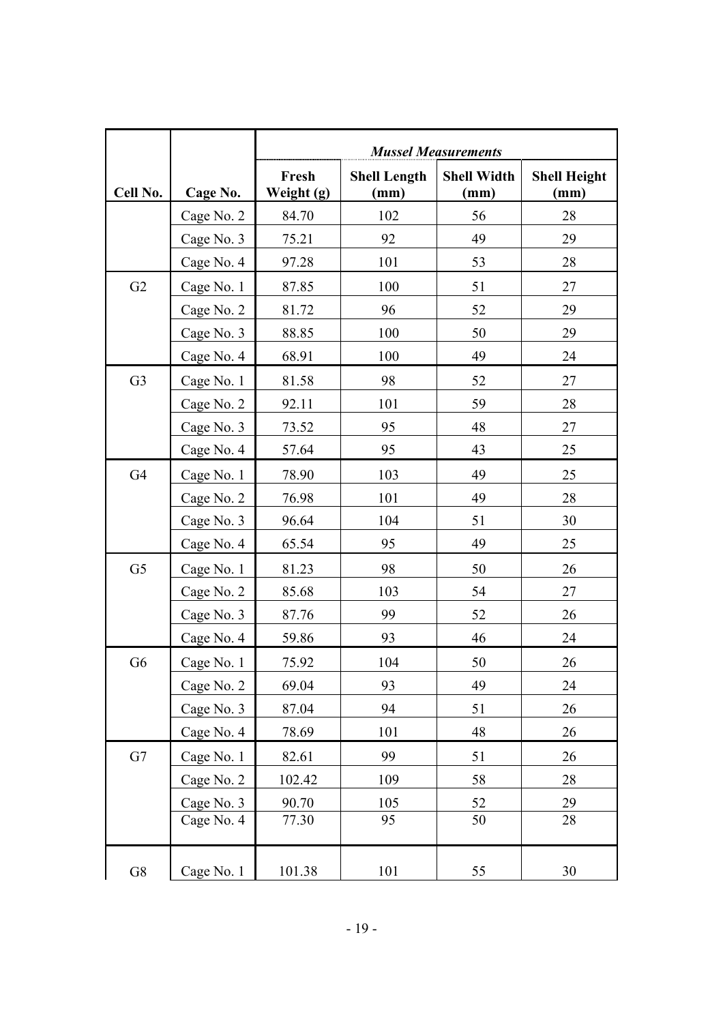|                |            | <b>Mussel Measurements</b> |                             |                            |                             |  |
|----------------|------------|----------------------------|-----------------------------|----------------------------|-----------------------------|--|
| Cell No.       | Cage No.   | Fresh<br>Weight (g)        | <b>Shell Length</b><br>(mm) | <b>Shell Width</b><br>(mm) | <b>Shell Height</b><br>(mm) |  |
|                | Cage No. 2 | 84.70                      | 102                         | 56                         | 28                          |  |
|                | Cage No. 3 | 75.21                      | 92                          | 49                         | 29                          |  |
|                | Cage No. 4 | 97.28                      | 101                         | 53                         | 28                          |  |
| G2             | Cage No. 1 | 87.85                      | 100                         | 51                         | 27                          |  |
|                | Cage No. 2 | 81.72                      | 96                          | 52                         | 29                          |  |
|                | Cage No. 3 | 88.85                      | 100                         | 50                         | 29                          |  |
|                | Cage No. 4 | 68.91                      | 100                         | 49                         | 24                          |  |
| G <sub>3</sub> | Cage No. 1 | 81.58                      | 98                          | 52                         | 27                          |  |
|                | Cage No. 2 | 92.11                      | 101                         | 59                         | 28                          |  |
|                | Cage No. 3 | 73.52                      | 95                          | 48                         | 27                          |  |
|                | Cage No. 4 | 57.64                      | 95                          | 43                         | 25                          |  |
| G <sub>4</sub> | Cage No. 1 | 78.90                      | 103                         | 49                         | 25                          |  |
|                | Cage No. 2 | 76.98                      | 101                         | 49                         | 28                          |  |
|                | Cage No. 3 | 96.64                      | 104                         | 51                         | 30                          |  |
|                | Cage No. 4 | 65.54                      | 95                          | 49                         | 25                          |  |
| G <sub>5</sub> | Cage No. 1 | 81.23                      | 98                          | 50                         | 26                          |  |
|                | Cage No. 2 | 85.68                      | 103                         | 54                         | 27                          |  |
|                | Cage No. 3 | 87.76                      | 99                          | 52                         | 26                          |  |
|                | Cage No. 4 | 59.86                      | 93                          | 46                         | 24                          |  |
| G <sub>6</sub> | Cage No. 1 | 75.92                      | 104                         | 50                         | 26                          |  |
|                | Cage No. 2 | 69.04                      | 93                          | 49                         | 24                          |  |
|                | Cage No. 3 | 87.04                      | 94                          | 51                         | 26                          |  |
|                | Cage No. 4 | 78.69                      | 101                         | 48                         | 26                          |  |
| G7             | Cage No. 1 | 82.61                      | 99                          | 51                         | 26                          |  |
|                | Cage No. 2 | 102.42                     | 109                         | 58                         | 28                          |  |
|                | Cage No. 3 | 90.70                      | 105                         | 52                         | 29                          |  |
|                | Cage No. 4 | 77.30                      | 95                          | 50                         | 28                          |  |
| ${\rm G}8$     | Cage No. 1 | 101.38                     | 101                         | 55                         | 30                          |  |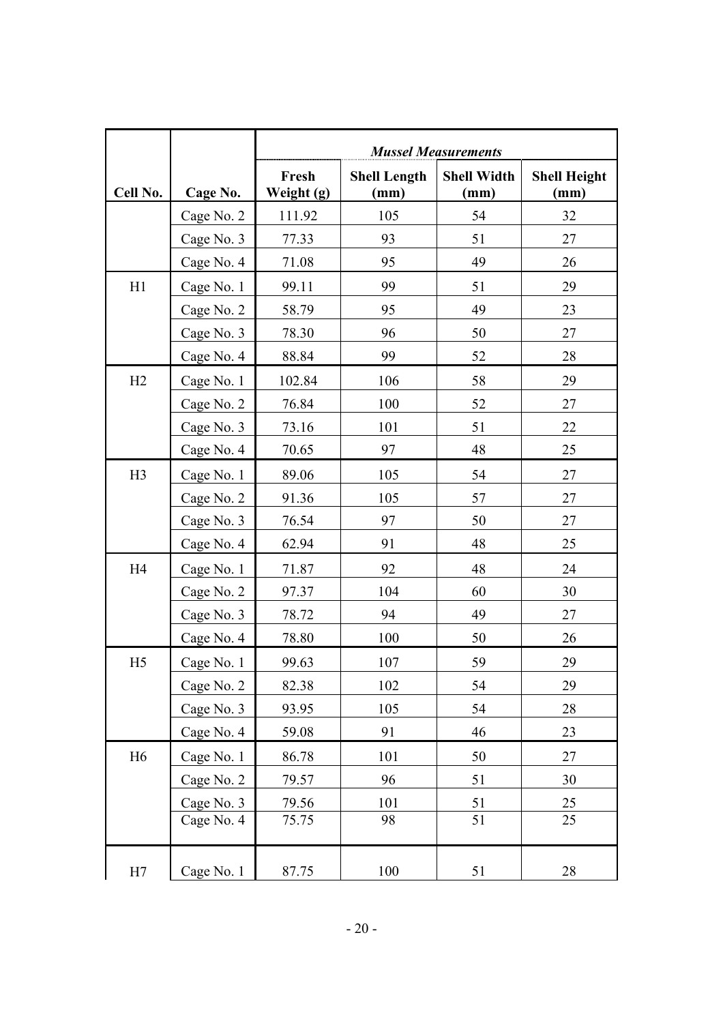|                |            |                     |                             | <b>Mussel Measurements</b> |                             |
|----------------|------------|---------------------|-----------------------------|----------------------------|-----------------------------|
| Cell No.       | Cage No.   | Fresh<br>Weight (g) | <b>Shell Length</b><br>(mm) | <b>Shell Width</b><br>(mm) | <b>Shell Height</b><br>(mm) |
|                | Cage No. 2 | 111.92              | 105                         | 54                         | 32                          |
|                | Cage No. 3 | 77.33               | 93                          | 51                         | 27                          |
|                | Cage No. 4 | 71.08               | 95                          | 49                         | 26                          |
| H1             | Cage No. 1 | 99.11               | 99                          | 51                         | 29                          |
|                | Cage No. 2 | 58.79               | 95                          | 49                         | 23                          |
|                | Cage No. 3 | 78.30               | 96                          | 50                         | 27                          |
|                | Cage No. 4 | 88.84               | 99                          | 52                         | 28                          |
| H2             | Cage No. 1 | 102.84              | 106                         | 58                         | 29                          |
|                | Cage No. 2 | 76.84               | 100                         | 52                         | 27                          |
|                | Cage No. 3 | 73.16               | 101                         | 51                         | 22                          |
|                | Cage No. 4 | 70.65               | 97                          | 48                         | 25                          |
| H3             | Cage No. 1 | 89.06               | 105                         | 54                         | 27                          |
|                | Cage No. 2 | 91.36               | 105                         | 57                         | 27                          |
|                | Cage No. 3 | 76.54               | 97                          | 50                         | 27                          |
|                | Cage No. 4 | 62.94               | 91                          | 48                         | 25                          |
| H4             | Cage No. 1 | 71.87               | 92                          | 48                         | 24                          |
|                | Cage No. 2 | 97.37               | 104                         | 60                         | 30                          |
|                | Cage No. 3 | 78.72               | 94                          | 49                         | 27                          |
|                | Cage No. 4 | 78.80               | 100                         | 50                         | 26                          |
| H <sub>5</sub> | Cage No. 1 | 99.63               | 107                         | 59                         | 29                          |
|                | Cage No. 2 | 82.38               | 102                         | 54                         | 29                          |
|                | Cage No. 3 | 93.95               | 105                         | 54                         | 28                          |
|                | Cage No. 4 | 59.08               | 91                          | 46                         | 23                          |
| H <sub>6</sub> | Cage No. 1 | 86.78               | 101                         | 50                         | 27                          |
|                | Cage No. 2 | 79.57               | 96                          | 51                         | 30                          |
|                | Cage No. 3 | 79.56               | 101                         | 51                         | 25                          |
|                | Cage No. 4 | 75.75               | 98                          | 51                         | 25                          |
| H7             | Cage No. 1 | 87.75               | 100                         | 51                         | 28                          |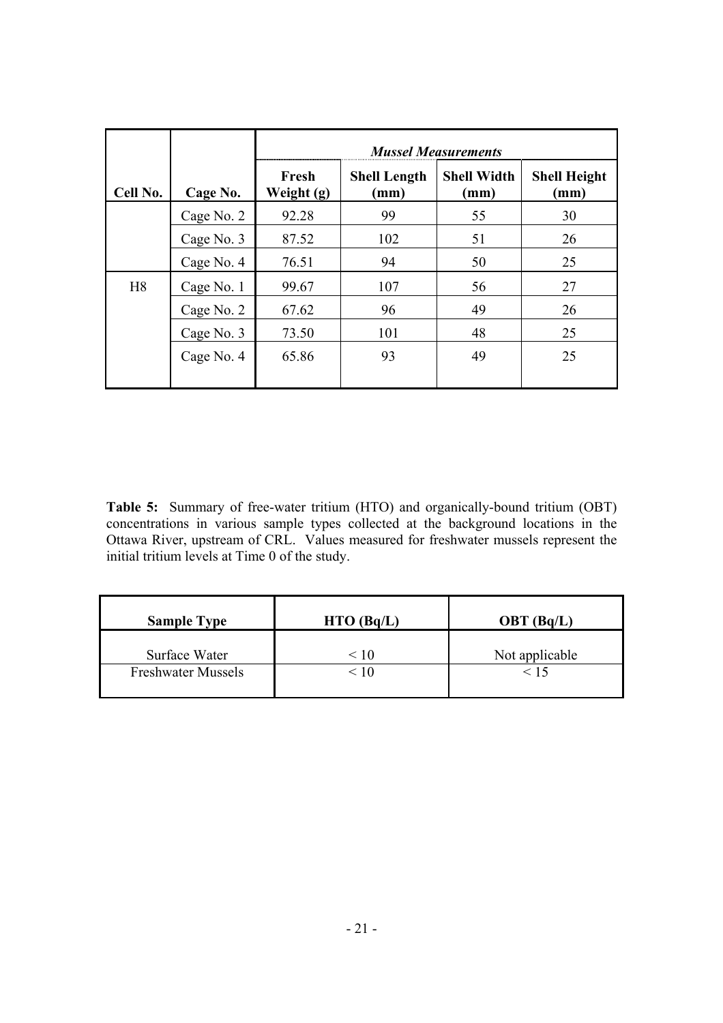|                |            |                     |                                        | <b>Mussel Measurements</b>            |                                        |
|----------------|------------|---------------------|----------------------------------------|---------------------------------------|----------------------------------------|
| Cell No.       | Cage No.   | Fresh<br>Weight (g) | <b>Shell Length</b><br>$(\mathbf{mm})$ | <b>Shell Width</b><br>$(\mathbf{mm})$ | <b>Shell Height</b><br>$(\mathbf{mm})$ |
|                | Cage No. 2 | 92.28               | 99                                     | 55                                    | 30                                     |
|                | Cage No. 3 | 87.52               | 102                                    | 51                                    | 26                                     |
|                | Cage No. 4 | 76.51               | 94                                     | 50                                    | 25                                     |
| H <sub>8</sub> | Cage No. 1 | 99.67               | 107                                    | 56                                    | 27                                     |
|                | Cage No. 2 | 67.62               | 96                                     | 49                                    | 26                                     |
|                | Cage No. 3 | 73.50               | 101                                    | 48                                    | 25                                     |
|                | Cage No. 4 | 65.86               | 93                                     | 49                                    | 25                                     |

**Table 5:** Summary of free-water tritium (HTO) and organically-bound tritium (OBT) concentrations in various sample types collected at the background locations in the Ottawa River, upstream of CRL. Values measured for freshwater mussels represent the initial tritium levels at Time 0 of the study.

| <b>Sample Type</b>        | $HTO$ (Bq/L) | OBT(Bq/L)      |
|---------------------------|--------------|----------------|
| Surface Water             | < 10         | Not applicable |
| <b>Freshwater Mussels</b> | $\leq 10$    | < 15           |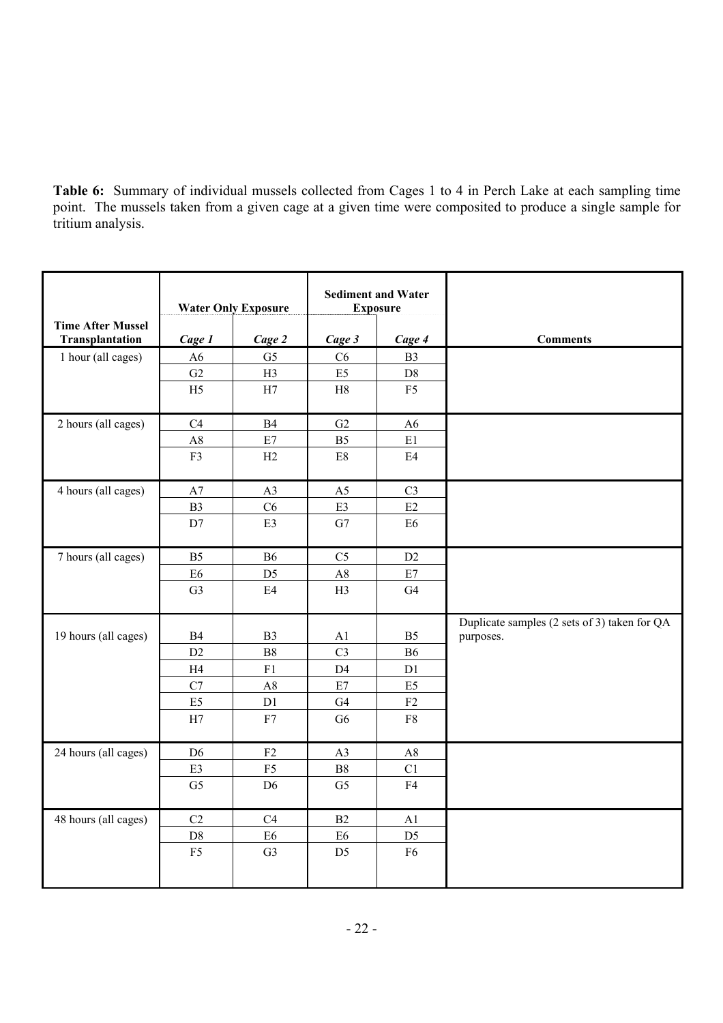**Table 6:** Summary of individual mussels collected from Cages 1 to 4 in Perch Lake at each sampling time point. The mussels taken from a given cage at a given time were composited to produce a single sample for tritium analysis.

|                                             |                | <b>Water Only Exposure</b> |                | <b>Sediment and Water</b><br><b>Exposure</b> |                                                           |
|---------------------------------------------|----------------|----------------------------|----------------|----------------------------------------------|-----------------------------------------------------------|
| <b>Time After Mussel</b><br>Transplantation | Cage 1         | Cage 2                     | Cage 3         | Cage 4                                       | <b>Comments</b>                                           |
| 1 hour (all cages)                          | A6             | G <sub>5</sub>             | C6             | B <sub>3</sub>                               |                                                           |
|                                             | G2             | H3                         | E5             | D8                                           |                                                           |
|                                             | H <sub>5</sub> | $\rm H7$                   | $\rm H8$       | F <sub>5</sub>                               |                                                           |
| 2 hours (all cages)                         | C4             | <b>B4</b>                  | G2             | A6                                           |                                                           |
|                                             | $\mathbf{A8}$  | $\rm E7$                   | B <sub>5</sub> | $\rm E1$                                     |                                                           |
|                                             | F3             | H2                         | $\mathrm{E}8$  | E4                                           |                                                           |
| 4 hours (all cages)                         | A7             | A3                         | A <sub>5</sub> | C <sub>3</sub>                               |                                                           |
|                                             | <b>B3</b>      | C6                         | E3             | E2                                           |                                                           |
|                                             | D7             | E3                         | ${\rm G}7$     | ${\rm E6}$                                   |                                                           |
| 7 hours (all cages)                         | B <sub>5</sub> | <b>B6</b>                  | C <sub>5</sub> | D2                                           |                                                           |
|                                             | E <sub>6</sub> | D <sub>5</sub>             | A8             | $\rm E7$                                     |                                                           |
|                                             | G <sub>3</sub> | E4                         | H3             | G4                                           |                                                           |
| 19 hours (all cages)                        | <b>B4</b>      | B <sub>3</sub>             | A1             | B <sub>5</sub>                               | Duplicate samples (2 sets of 3) taken for QA<br>purposes. |
|                                             | D2             | ${\bf B8}$                 | C <sub>3</sub> | <b>B6</b>                                    |                                                           |
|                                             | H4             | F1                         | D <sub>4</sub> | D1                                           |                                                           |
|                                             | $\mathbf{C}7$  | A8                         | $\rm E7$       | E5                                           |                                                           |
|                                             | E5             | D1                         | G4             | ${\rm F2}$                                   |                                                           |
|                                             | H7             | F7                         | G <sub>6</sub> | ${\rm F}8$                                   |                                                           |
| 24 hours (all cages)                        | D <sub>6</sub> | F2                         | A3             | A8                                           |                                                           |
|                                             | E3             | ${\rm F}5$                 | $_{\rm B8}$    | C1                                           |                                                           |
|                                             | G <sub>5</sub> | D <sub>6</sub>             | G <sub>5</sub> | F4                                           |                                                           |
| 48 hours (all cages)                        | C2             | C4                         | B2             | A1                                           |                                                           |
|                                             | $\mathbf{D}8$  | E <sub>6</sub>             | E <sub>6</sub> | D <sub>5</sub>                               |                                                           |
|                                             | F <sub>5</sub> | G <sub>3</sub>             | D <sub>5</sub> | F <sub>6</sub>                               |                                                           |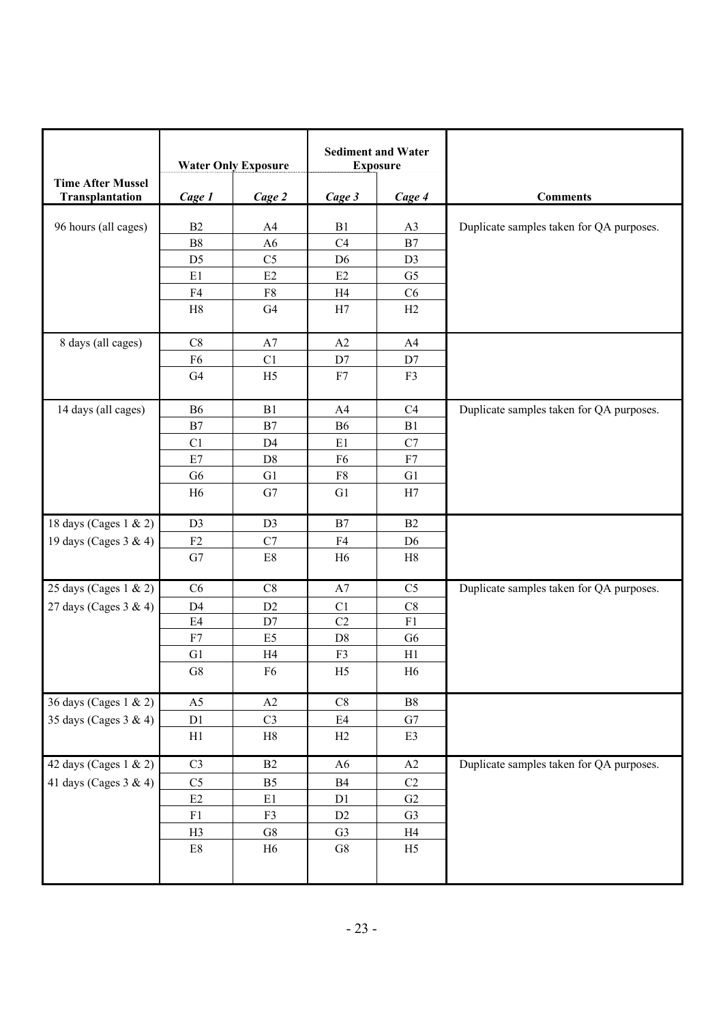|                          |                | <b>Water Only Exposure</b> |                 | <b>Sediment and Water</b><br><b>Exposure</b> |                                          |
|--------------------------|----------------|----------------------------|-----------------|----------------------------------------------|------------------------------------------|
| <b>Time After Mussel</b> |                |                            |                 |                                              |                                          |
| Transplantation          | Cage 1         | Cage 2                     | Cage 3          | Cage 4                                       | <b>Comments</b>                          |
| 96 hours (all cages)     | B2             | A4                         | B1              | A3                                           | Duplicate samples taken for QA purposes. |
|                          | ${\rm B}8$     | A6                         | C4              | B7                                           |                                          |
|                          | D <sub>5</sub> | C <sub>5</sub>             | D <sub>6</sub>  | D <sub>3</sub>                               |                                          |
|                          | E1             | E2                         | E2              | G <sub>5</sub>                               |                                          |
|                          | F4             | ${\rm F}8$                 | H4              | C6                                           |                                          |
|                          | $\rm H8$       | G <sub>4</sub>             | H7              | H2                                           |                                          |
| 8 days (all cages)       | C8             | A7                         | A2              | A4                                           |                                          |
|                          | F <sub>6</sub> | C1                         | $\mathbf{D}7$   | $\mathbf{D}7$                                |                                          |
|                          | G4             | H <sub>5</sub>             | F7              | F3                                           |                                          |
| 14 days (all cages)      | <b>B6</b>      | B1                         | A4              | C <sub>4</sub>                               | Duplicate samples taken for QA purposes. |
|                          | B7             | $\mathbf{B}7$              | <b>B6</b>       | B1                                           |                                          |
|                          | C1             | D <sub>4</sub>             | E1              | C7                                           |                                          |
|                          | $\rm E7$       | $\mathbf{D}8$              | F <sub>6</sub>  | ${\rm F}7$                                   |                                          |
|                          | G <sub>6</sub> | G1                         | ${\rm F}8$      | G1                                           |                                          |
|                          | H <sub>6</sub> | G7                         | G1              | H7                                           |                                          |
| 18 days (Cages 1 & 2)    | D <sub>3</sub> | D <sub>3</sub>             | B7              | B2                                           |                                          |
| 19 days (Cages 3 & 4)    | ${\rm F2}$     | C7                         | F4              | D <sub>6</sub>                               |                                          |
|                          | G7             | $\rm E8$                   | H <sub>6</sub>  | H8                                           |                                          |
| 25 days (Cages 1 & 2)    | C6             | $\rm{C}8$                  | A7              | C <sub>5</sub>                               | Duplicate samples taken for QA purposes. |
| 27 days (Cages 3 & 4)    | D <sub>4</sub> | D2                         | C1              | C8                                           |                                          |
|                          | E4             | D7                         | $\overline{C2}$ | F1                                           |                                          |
|                          | F7             | E <sub>5</sub>             | D <sub>8</sub>  | G <sub>6</sub>                               |                                          |
|                          | G1             | H <sub>4</sub>             | F3              | H1                                           |                                          |
|                          | ${\rm G}8$     | F <sub>6</sub>             | H <sub>5</sub>  | H <sub>6</sub>                               |                                          |
| 36 days (Cages 1 & 2)    | A5             | $\rm A2$                   | C8              | $_{\rm B8}$                                  |                                          |
| 35 days (Cages 3 & 4)    | D1             | C <sub>3</sub>             | E4              | G7                                           |                                          |
|                          | H1             | H8                         | H2              | E3                                           |                                          |
| 42 days (Cages 1 & 2)    | C <sub>3</sub> | B2                         | A6              | A2                                           | Duplicate samples taken for QA purposes. |
| 41 days (Cages $3 & 4$ ) | C <sub>5</sub> | B <sub>5</sub>             | B4              | $\rm{C2}$                                    |                                          |
|                          | E2             | E1                         | D1              | G2                                           |                                          |
|                          | ${\rm F}1$     | F3                         | D2              | G <sub>3</sub>                               |                                          |
|                          | H3             | ${\rm G}8$                 | G <sub>3</sub>  | H4                                           |                                          |
|                          | $\rm E8$       | H <sub>6</sub>             | ${\rm G}8$      | H <sub>5</sub>                               |                                          |
|                          |                |                            |                 |                                              |                                          |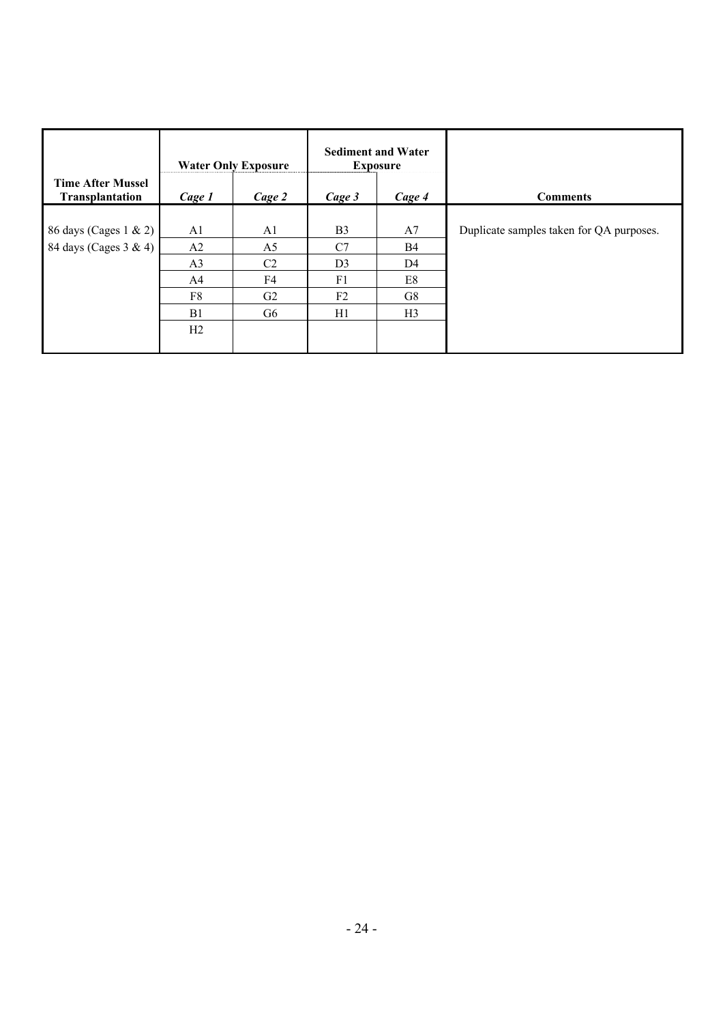|                                             |                | <b>Water Only Exposure</b> |                | <b>Sediment and Water</b><br><b>Exposure</b> |                                          |
|---------------------------------------------|----------------|----------------------------|----------------|----------------------------------------------|------------------------------------------|
| <b>Time After Mussel</b><br>Transplantation | Cage 1         | Cage 2                     | Cage 3         | Cage 4                                       | <b>Comments</b>                          |
| 86 days (Cages 1 & 2)                       | A1             | A <sub>1</sub>             | B <sub>3</sub> | A7                                           | Duplicate samples taken for QA purposes. |
| 84 days (Cages 3 & 4)                       | A <sub>2</sub> | A <sub>5</sub>             | C7             | <b>B4</b>                                    |                                          |
|                                             | A <sub>3</sub> | C <sub>2</sub>             | D <sub>3</sub> | D <sub>4</sub>                               |                                          |
|                                             | A4             | F4                         | F1             | E8                                           |                                          |
|                                             | F8             | G2                         | F <sub>2</sub> | G8                                           |                                          |
|                                             | B1             | G6                         | H1             | H <sub>3</sub>                               |                                          |
|                                             | H2             |                            |                |                                              |                                          |
|                                             |                |                            |                |                                              |                                          |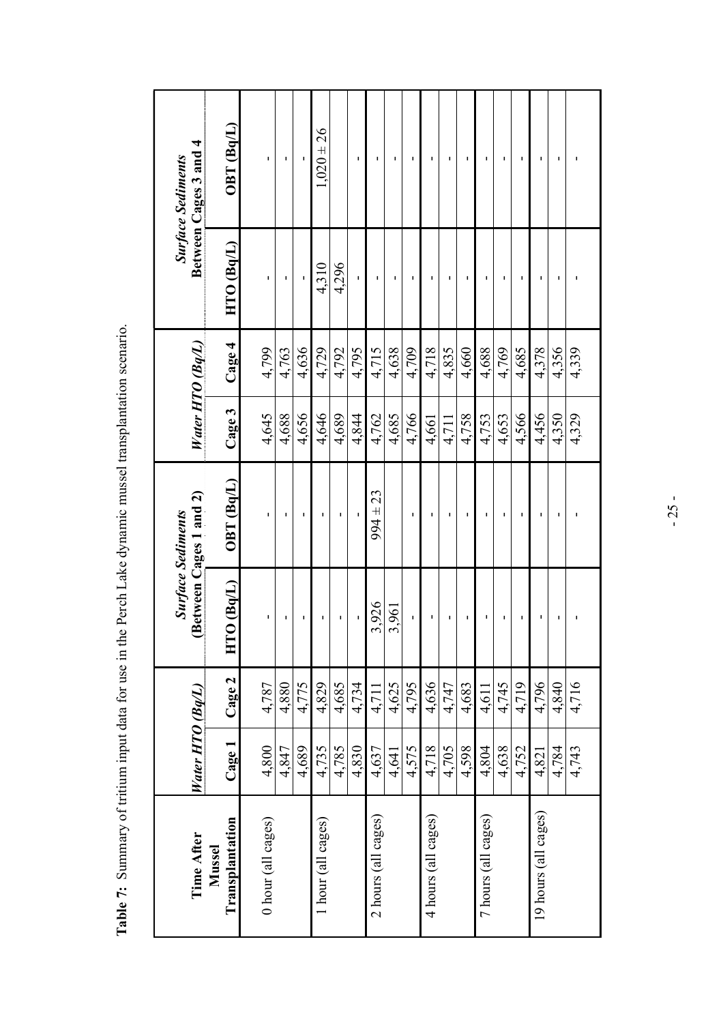| Time After                | Water HTO (Bq/L) |        |                 | Between Cages 1 and 2)<br><b>Surface Sediments</b> | Water HTO (Bq/L) |        |                | Between Cages 3 and 4<br><b>Surface Sediments</b> |
|---------------------------|------------------|--------|-----------------|----------------------------------------------------|------------------|--------|----------------|---------------------------------------------------|
| Transplantation<br>Mussel | Cage 1           | Cage 2 | $O$ (Bq/L)<br>Ē | OBT (Bq/L)                                         | $C$ age 3        | Cage 4 | $HTO$ $(Bq/L)$ | OBT (Bq/L)                                        |
| 0 hour (all cages)        | 4,800            | 4,787  | J.              | I.                                                 | 4,645            | 4,799  |                | I.                                                |
|                           | 4,847            | 4,880  |                 | п                                                  | 4,688            | 4,763  |                | ı                                                 |
|                           | 4,689            | 4,775  | J.              | I.                                                 | 4,656            | 4,636  |                |                                                   |
| 1 hour (all cages)        | 4,735            | 4,829  | ı               | I.                                                 | 4,646            | 4,729  | 4,310          | $1,020 \pm 26$                                    |
|                           | 4,785            | 4,685  | ı               | I.                                                 | 4,689            | 4,792  | 4,296          |                                                   |
|                           | 4,830            | 4.734  |                 | ı                                                  | 4,844            | 4,795  |                | ı                                                 |
| 2 hours (all cages)       | 4,637            | 4,711  | 3,926           | $994 \pm 23$                                       | 4,762            | 4,715  |                | ٠                                                 |
|                           | 4,641            | 4,625  | 3,961           |                                                    | 4,685            | 4,638  |                | ٠                                                 |
|                           | 4,575            | 4,795  | f,              | ı                                                  | 4,766            | 4,709  |                | ٠                                                 |
| 4 hours (all cages)       | 4,718            | 4,636  | ı               | п                                                  | 4,661            | 4,718  |                | п                                                 |
|                           | 4,705            | 4,747  | J.              | п                                                  | 4,711            | 4,835  |                | I.                                                |
|                           | 4,598            | 4,683  |                 | п                                                  | 4,758            | 4,660  |                | п                                                 |
| 7 hours (all cages)       | 4,804            | 4,611  |                 |                                                    | 4,753            | 4,688  |                |                                                   |
|                           | 4,638            | 4,745  |                 | п                                                  | 4,653            | 4,769  |                | I.                                                |
|                           | 4,752            | 4,719  |                 |                                                    | 4,566            | 4,685  |                |                                                   |
| 19 hours (all cages)      | 4,821            | 4,796  | ٠               | ٠                                                  | 4,456            | 4,378  | п              | ٠                                                 |
|                           | 4,784            | 4,840  |                 | п                                                  | 4,350            | 4,356  |                |                                                   |
|                           | 4,743            | 4,716  |                 |                                                    | 4,329            | 4,339  |                |                                                   |

Table 7: Summary of tritium input data for use in the Perch Lake dynamic mussel transplantation scenario. **Table 7:** Summary of tritium input data for use in the Perch Lake dynamic mussel transplantation scenario.

- 25 -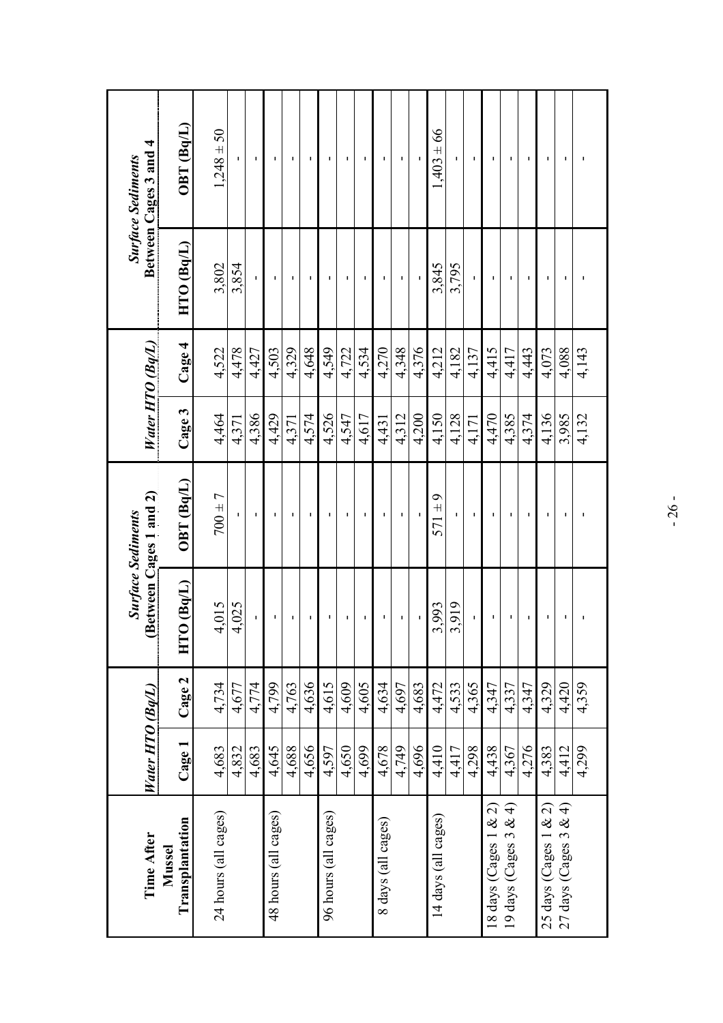| Time After                                     | Water HTO $(Bq/L)$ |        |                    | Between Cages 1 and 2)<br><b>Surface Sediments</b> |       | Water HTO (Bq/L) |                | Between Cages 3 and 4<br><b>Surface Sediments</b> |
|------------------------------------------------|--------------------|--------|--------------------|----------------------------------------------------|-------|------------------|----------------|---------------------------------------------------|
| Transplantation<br>Mussel                      | Cage 1             | Cage 2 | $O$ ( $BqL$ )<br>E | OBT(Bq/L)                                          | Cage3 | Cage 4           | $HTO$ $(Bq/L)$ | $OBT$ ( $Bq/L$ )                                  |
| 24 hours (all cages)                           | 4,683              | 4,734  | 4,015              | $700 \pm 7$                                        | 4,464 | 4,522            | 3,802          | $1,248 \pm 50$                                    |
|                                                | 4,832              | 4,677  | 4,025              |                                                    | 4.371 | 4.478            | 3,854          |                                                   |
|                                                | 4,683              | 4,774  | ĭ.                 | $\blacksquare$                                     | 4,386 | 4,427            | $\mathbf{I}$   | $\mathbf I$                                       |
| 48 hours (all cages)                           | 4,645              | 4,799  | Ţ                  |                                                    | 4,429 | 4,503            |                |                                                   |
|                                                | 4,688              | 4,763  |                    |                                                    | 4,371 | 4,329            |                | т.                                                |
|                                                | 4,656              | 4,636  | $\blacksquare$     | $\mathbf I$                                        | 4,574 | 4,648            | I.             | $\mathbf I$                                       |
| 96 hours (all cages)                           | 4,597              | 4.615  | $\mathbf I$        | $\blacksquare$                                     | 4,526 | 4,549            | п              | п                                                 |
|                                                | 4,650              | 4,609  | 1                  | ٠                                                  | 4,547 | 4,722            |                | п                                                 |
|                                                | 4,699              | 4,605  | $\blacksquare$     |                                                    | 4,617 | 4,534            |                | $\mathbf I$                                       |
| 8 days (all cages)                             | 4,678              | 4,634  | ٠                  | п                                                  | 4,431 | 4,270            |                | $\blacksquare$                                    |
|                                                | 4,749              | 4,697  | Ţ                  | $\mathbf{I}$                                       | 4,312 | 4,348            | J.             | $\blacksquare$                                    |
|                                                | 4,696              | 4,683  |                    |                                                    | 4,200 | 4,376            |                |                                                   |
| 14 days (all cages)                            | 4,410              | 4.472  | 3,993              | $571 \pm 9$                                        | 4.150 | 4.212            | 3.845          | $1,403 \pm 66$                                    |
|                                                | 4,417              | 4,533  | 3,919              | I.                                                 | 4,128 | 4,182            | 3,795          | r.                                                |
|                                                | 4,298              | 4,365  | I.                 |                                                    | 4,171 | 4,137            |                |                                                   |
|                                                | 4,438              | 4,347  | ı                  |                                                    | 4,470 | 4,415            |                | ٠                                                 |
| 18 days (Cages 1 & 2)<br>19 days (Cages 3 & 4) | 4,367              | 4,337  | 1                  | $\mathbf I$                                        | 4,385 | 4,417            | ı              | $\mathbf I$                                       |
|                                                | 4,276              | 4,347  | Ţ                  |                                                    | 4,374 | 4,443            |                |                                                   |
| 25 days (Cages $1 & 2$ )                       | 4,383              | 4,329  | ı                  |                                                    | 4,136 | 4,073            |                | 1                                                 |
| 27 days (Cages 3 & 4)                          | 4,412              | 4,420  | J.                 | J.                                                 | 3,985 | 4,088            |                | $\blacksquare$                                    |
|                                                | 4,299              | 4,359  |                    |                                                    | 4,132 | 4,143            |                |                                                   |
|                                                |                    |        |                    |                                                    |       |                  |                |                                                   |

- 26 -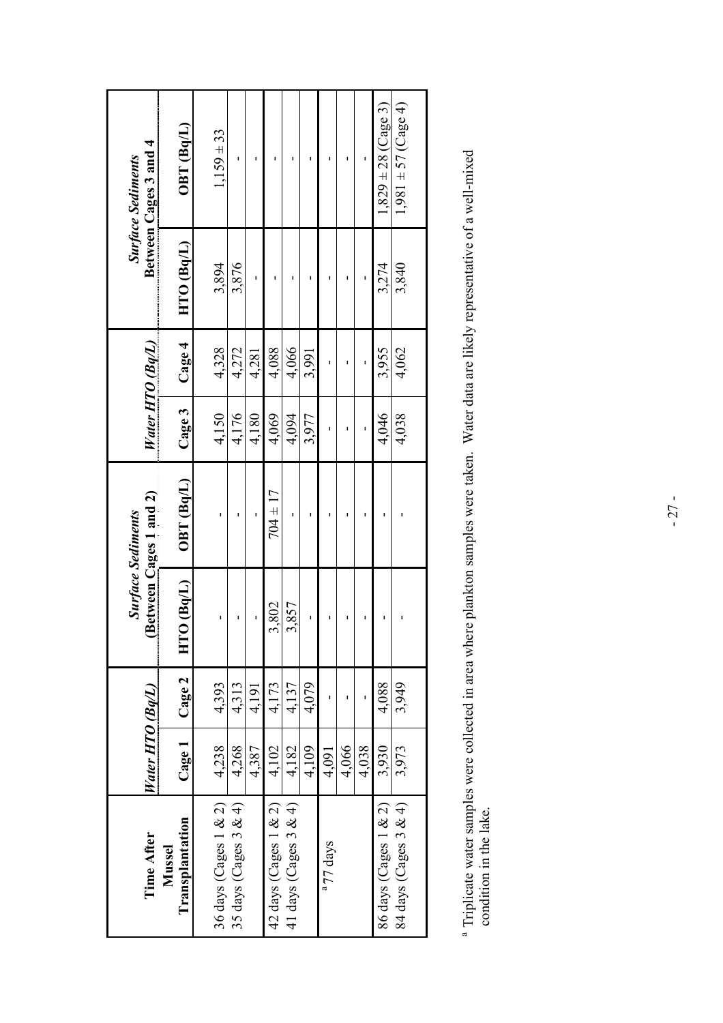| Time After                       | Water HTO (Bq/L) |        |                            | Between Cages 1 and 2)<br><b>Surface Sediments</b> | Water HTO (Bq/L) |        |           | Between Cages 3 and 4<br><b>Surface Sediments</b> |
|----------------------------------|------------------|--------|----------------------------|----------------------------------------------------|------------------|--------|-----------|---------------------------------------------------|
| Transplantation<br><b>Mussel</b> | $\rm{Cage}$ $1$  | Cage 2 | $\overline{O}$ (Bq/L)<br>E | OBT(Bq/L)                                          | Cage 3           | Cage 4 | HTO(Bq/L) | OBT(Bq/L)                                         |
| 36 days (Cages $1 & 2$ )         | 4,238            | 4,393  | ı                          |                                                    | 4,150            | 4,328  | 3,894     | $1,159 \pm 33$                                    |
| 35 days (Cages $3 & 4$ )         | 4,268            | 4,313  |                            |                                                    | 4,176            | 4,272  | 3,876     |                                                   |
|                                  | 4,387            | 4,191  |                            |                                                    | 4,180            | 4,281  |           |                                                   |
| 42 days (Cages 1 & 2)            | 4,102            | 4,173  | 3,802                      | $704 \pm 17$                                       | 4,069            | 4,088  |           |                                                   |
| 41 days (Cages $3 & 4$ )         | 4,182            | 4,137  | 3,857                      |                                                    | 4,094            | 4,066  |           |                                                   |
|                                  | 4,109            | 4,079  | ı                          |                                                    | 3,977            | 3,991  |           |                                                   |
| <sup>a</sup> 77 days             | 4,091            |        | ı                          |                                                    |                  | ı      |           |                                                   |
|                                  | 4,066            |        | ı                          |                                                    |                  |        |           |                                                   |
|                                  | 4,038            |        | ı                          |                                                    |                  |        | ı         |                                                   |
| 86 days (Cages 1 & 2)            | 3,930            | 4,088  |                            |                                                    | 4,046            | 3,955  | 3.274     | $1,829 \pm 28$ (Cage 3)                           |
| 84 days (Cages 3 & 4)            | 3,973            | 3,949  |                            |                                                    | 4,038            | 4,062  | 3,840     | $1,981 \pm 57$ (Cage 4)                           |
|                                  |                  |        |                            |                                                    |                  |        |           |                                                   |

<sup>a</sup> Triplicate water samples were collected in area where plankton samples were taken. Water data are likely representative of a well-mixed condition in the lake. a Triplicate water samples were collected in area where plankton samples were taken. Water data are likely representative of a well-mixed condition in the lake.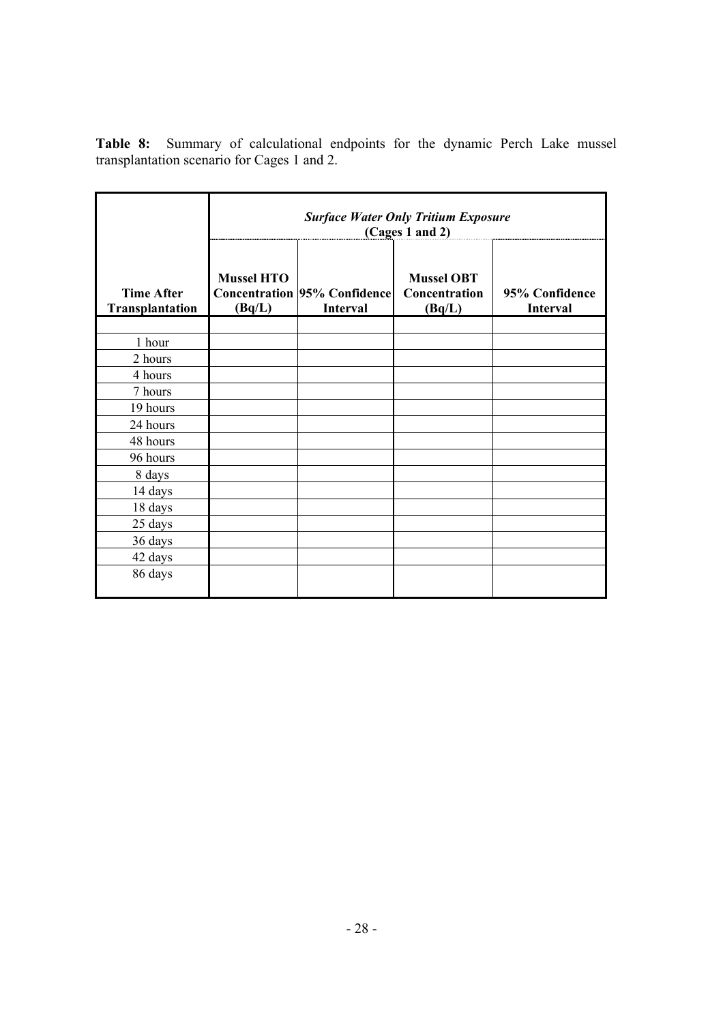**Table 8:** Summary of calculational endpoints for the dynamic Perch Lake mussel transplantation scenario for Cages 1 and 2.

|                                      |                             |                                                 | <b>Surface Water Only Tritium Exposure</b><br>(Cages 1 and 2) |                            |
|--------------------------------------|-----------------------------|-------------------------------------------------|---------------------------------------------------------------|----------------------------|
| <b>Time After</b><br>Transplantation | <b>Mussel HTO</b><br>(Bq/L) | <b>Concentration 95% Confidence</b><br>Interval | <b>Mussel OBT</b><br>Concentration<br>(Bq/L)                  | 95% Confidence<br>Interval |
|                                      |                             |                                                 |                                                               |                            |
| 1 hour                               |                             |                                                 |                                                               |                            |
| 2 hours                              |                             |                                                 |                                                               |                            |
| 4 hours                              |                             |                                                 |                                                               |                            |
| 7 hours                              |                             |                                                 |                                                               |                            |
| 19 hours                             |                             |                                                 |                                                               |                            |
| 24 hours                             |                             |                                                 |                                                               |                            |
| 48 hours                             |                             |                                                 |                                                               |                            |
| 96 hours                             |                             |                                                 |                                                               |                            |
| 8 days                               |                             |                                                 |                                                               |                            |
| 14 days                              |                             |                                                 |                                                               |                            |
| 18 days                              |                             |                                                 |                                                               |                            |
| 25 days                              |                             |                                                 |                                                               |                            |
| 36 days                              |                             |                                                 |                                                               |                            |
| 42 days                              |                             |                                                 |                                                               |                            |
| 86 days                              |                             |                                                 |                                                               |                            |